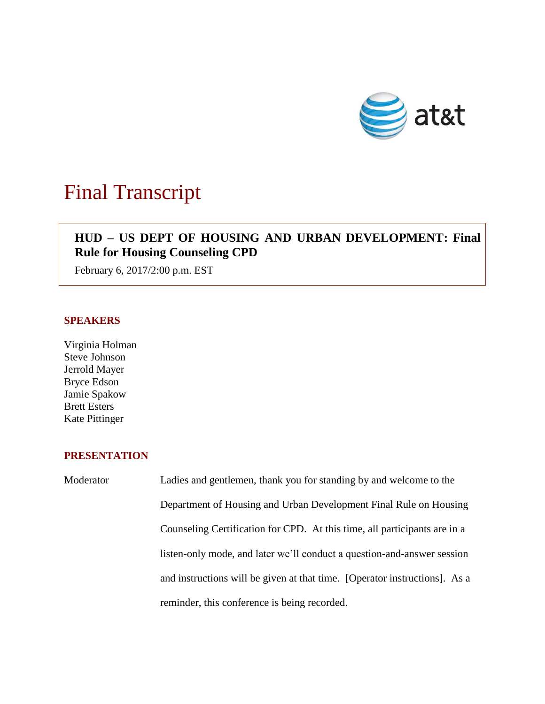

# Final Transcript

# **HUD – US DEPT OF HOUSING AND URBAN DEVELOPMENT: Final Rule for Housing Counseling CPD**

February 6, 2017/2:00 p.m. EST

### **SPEAKERS**

Virginia Holman Steve Johnson Jerrold Mayer Bryce Edson Jamie Spakow Brett Esters Kate Pittinger

## **PRESENTATION**

Moderator Ladies and gentlemen, thank you for standing by and welcome to the Department of Housing and Urban Development Final Rule on Housing Counseling Certification for CPD. At this time, all participants are in a listen-only mode, and later we'll conduct a question-and-answer session and instructions will be given at that time. [Operator instructions]. As a reminder, this conference is being recorded.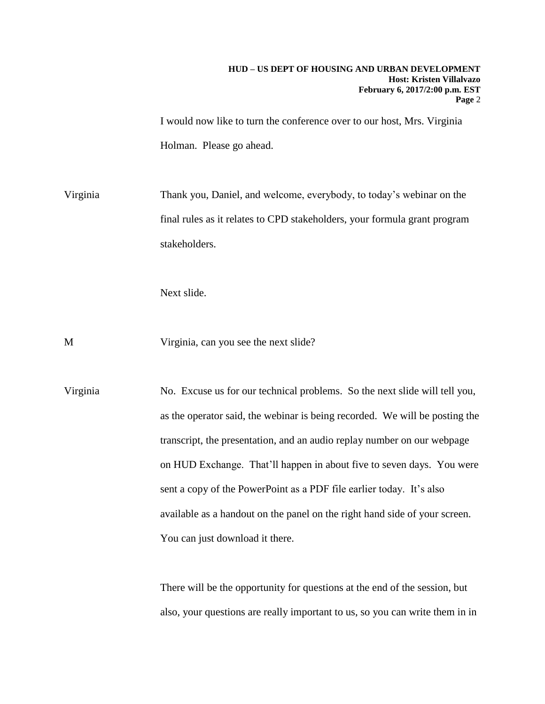I would now like to turn the conference over to our host, Mrs. Virginia Holman. Please go ahead.

Virginia Thank you, Daniel, and welcome, everybody, to today's webinar on the final rules as it relates to CPD stakeholders, your formula grant program stakeholders.

Next slide.

M Virginia, can you see the next slide?

Virginia No. Excuse us for our technical problems. So the next slide will tell you, as the operator said, the webinar is being recorded. We will be posting the transcript, the presentation, and an audio replay number on our webpage on HUD Exchange. That'll happen in about five to seven days. You were sent a copy of the PowerPoint as a PDF file earlier today. It's also available as a handout on the panel on the right hand side of your screen. You can just download it there.

> There will be the opportunity for questions at the end of the session, but also, your questions are really important to us, so you can write them in in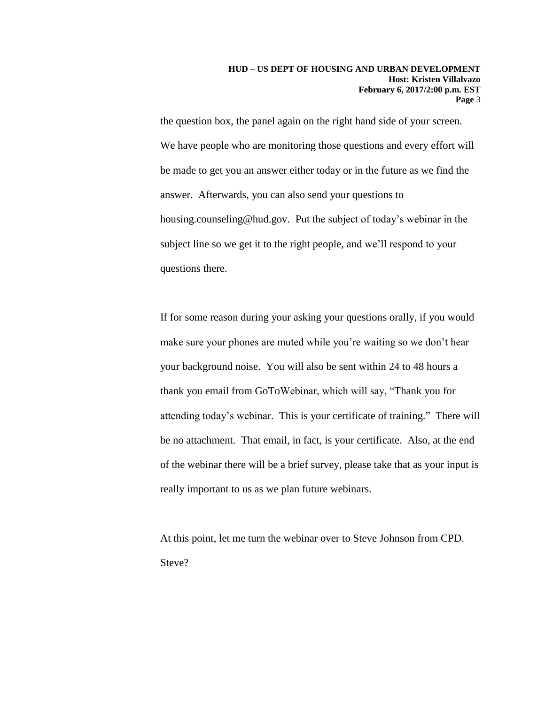the question box, the panel again on the right hand side of your screen. We have people who are monitoring those questions and every effort will be made to get you an answer either today or in the future as we find the answer. Afterwards, you can also send your questions to housing.counseling@hud.gov. Put the subject of today's webinar in the subject line so we get it to the right people, and we'll respond to your questions there.

If for some reason during your asking your questions orally, if you would make sure your phones are muted while you're waiting so we don't hear your background noise. You will also be sent within 24 to 48 hours a thank you email from GoToWebinar, which will say, "Thank you for attending today's webinar. This is your certificate of training." There will be no attachment. That email, in fact, is your certificate. Also, at the end of the webinar there will be a brief survey, please take that as your input is really important to us as we plan future webinars.

At this point, let me turn the webinar over to Steve Johnson from CPD. Steve?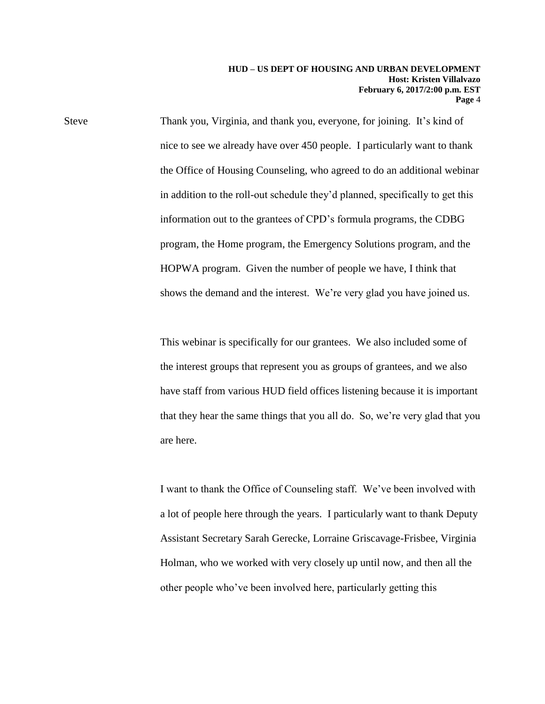Steve Thank you, Virginia, and thank you, everyone, for joining. It's kind of nice to see we already have over 450 people. I particularly want to thank the Office of Housing Counseling, who agreed to do an additional webinar in addition to the roll-out schedule they'd planned, specifically to get this information out to the grantees of CPD's formula programs, the CDBG program, the Home program, the Emergency Solutions program, and the HOPWA program. Given the number of people we have, I think that shows the demand and the interest. We're very glad you have joined us.

> This webinar is specifically for our grantees. We also included some of the interest groups that represent you as groups of grantees, and we also have staff from various HUD field offices listening because it is important that they hear the same things that you all do. So, we're very glad that you are here.

> I want to thank the Office of Counseling staff. We've been involved with a lot of people here through the years. I particularly want to thank Deputy Assistant Secretary Sarah Gerecke, Lorraine Griscavage-Frisbee, Virginia Holman, who we worked with very closely up until now, and then all the other people who've been involved here, particularly getting this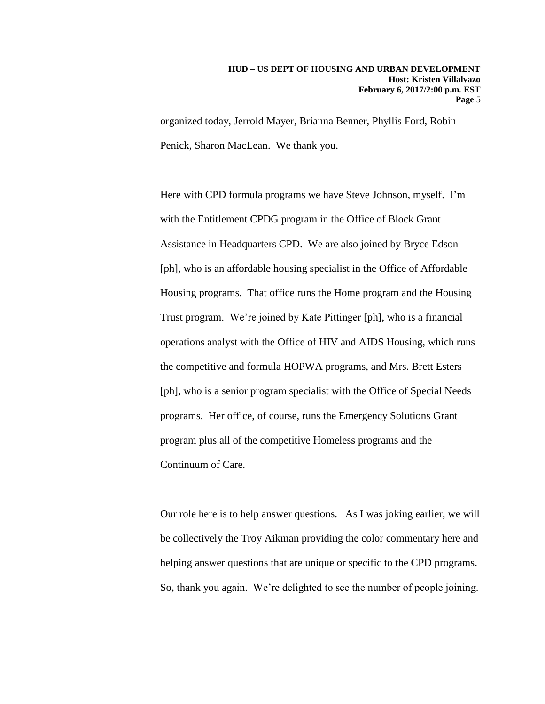organized today, Jerrold Mayer, Brianna Benner, Phyllis Ford, Robin Penick, Sharon MacLean. We thank you.

Here with CPD formula programs we have Steve Johnson, myself. I'm with the Entitlement CPDG program in the Office of Block Grant Assistance in Headquarters CPD. We are also joined by Bryce Edson [ph], who is an affordable housing specialist in the Office of Affordable Housing programs. That office runs the Home program and the Housing Trust program. We're joined by Kate Pittinger [ph], who is a financial operations analyst with the Office of HIV and AIDS Housing, which runs the competitive and formula HOPWA programs, and Mrs. Brett Esters [ph], who is a senior program specialist with the Office of Special Needs programs. Her office, of course, runs the Emergency Solutions Grant program plus all of the competitive Homeless programs and the Continuum of Care.

Our role here is to help answer questions. As I was joking earlier, we will be collectively the Troy Aikman providing the color commentary here and helping answer questions that are unique or specific to the CPD programs. So, thank you again. We're delighted to see the number of people joining.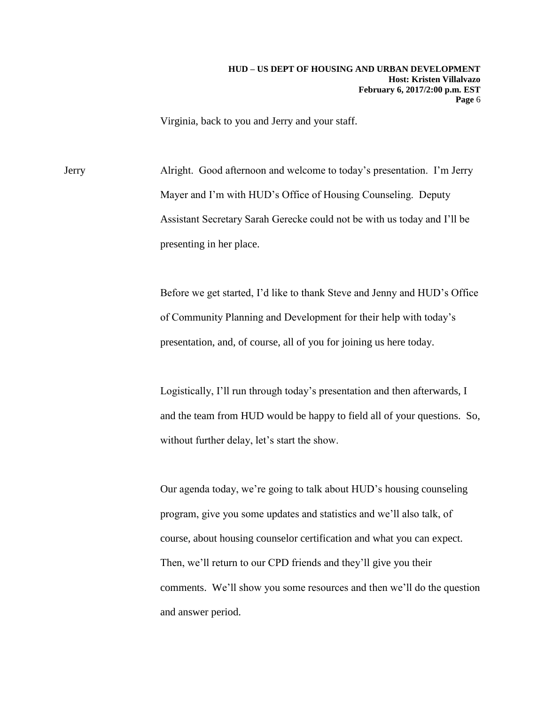Virginia, back to you and Jerry and your staff.

Jerry Alright. Good afternoon and welcome to today's presentation. I'm Jerry Mayer and I'm with HUD's Office of Housing Counseling. Deputy Assistant Secretary Sarah Gerecke could not be with us today and I'll be presenting in her place.

> Before we get started, I'd like to thank Steve and Jenny and HUD's Office of Community Planning and Development for their help with today's presentation, and, of course, all of you for joining us here today.

> Logistically, I'll run through today's presentation and then afterwards, I and the team from HUD would be happy to field all of your questions. So, without further delay, let's start the show.

> Our agenda today, we're going to talk about HUD's housing counseling program, give you some updates and statistics and we'll also talk, of course, about housing counselor certification and what you can expect. Then, we'll return to our CPD friends and they'll give you their comments. We'll show you some resources and then we'll do the question and answer period.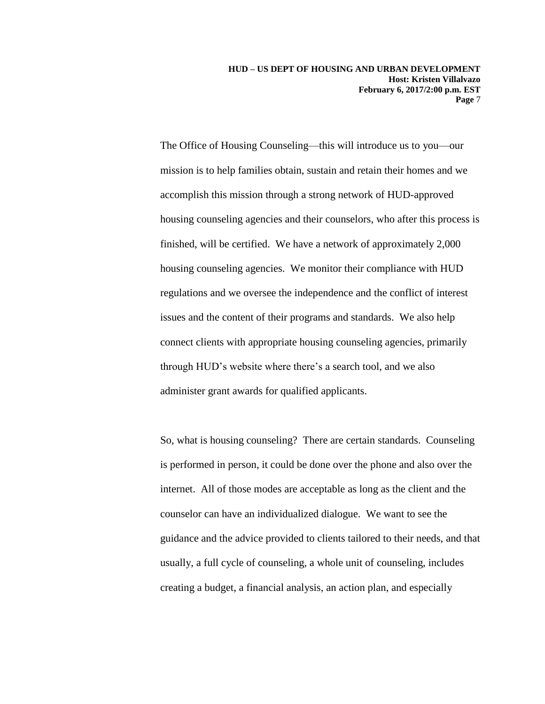The Office of Housing Counseling—this will introduce us to you—our mission is to help families obtain, sustain and retain their homes and we accomplish this mission through a strong network of HUD-approved housing counseling agencies and their counselors, who after this process is finished, will be certified. We have a network of approximately 2,000 housing counseling agencies. We monitor their compliance with HUD regulations and we oversee the independence and the conflict of interest issues and the content of their programs and standards. We also help connect clients with appropriate housing counseling agencies, primarily through HUD's website where there's a search tool, and we also administer grant awards for qualified applicants.

So, what is housing counseling? There are certain standards. Counseling is performed in person, it could be done over the phone and also over the internet. All of those modes are acceptable as long as the client and the counselor can have an individualized dialogue. We want to see the guidance and the advice provided to clients tailored to their needs, and that usually, a full cycle of counseling, a whole unit of counseling, includes creating a budget, a financial analysis, an action plan, and especially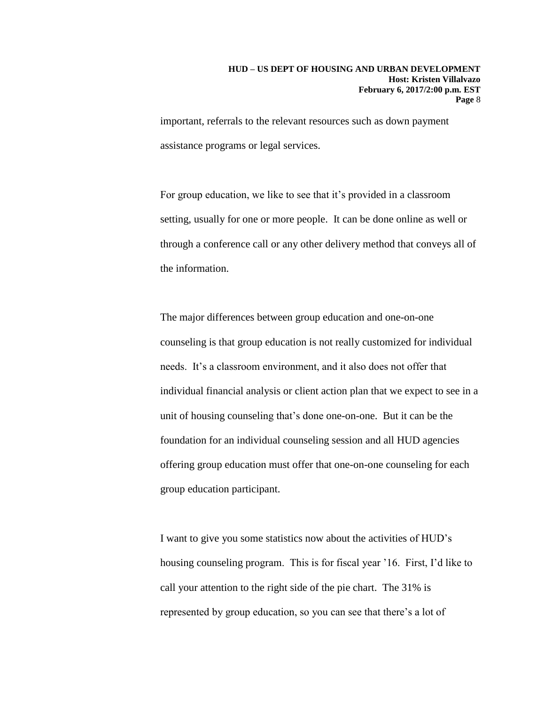important, referrals to the relevant resources such as down payment assistance programs or legal services.

For group education, we like to see that it's provided in a classroom setting, usually for one or more people. It can be done online as well or through a conference call or any other delivery method that conveys all of the information.

The major differences between group education and one-on-one counseling is that group education is not really customized for individual needs. It's a classroom environment, and it also does not offer that individual financial analysis or client action plan that we expect to see in a unit of housing counseling that's done one-on-one. But it can be the foundation for an individual counseling session and all HUD agencies offering group education must offer that one-on-one counseling for each group education participant.

I want to give you some statistics now about the activities of HUD's housing counseling program. This is for fiscal year '16. First, I'd like to call your attention to the right side of the pie chart. The 31% is represented by group education, so you can see that there's a lot of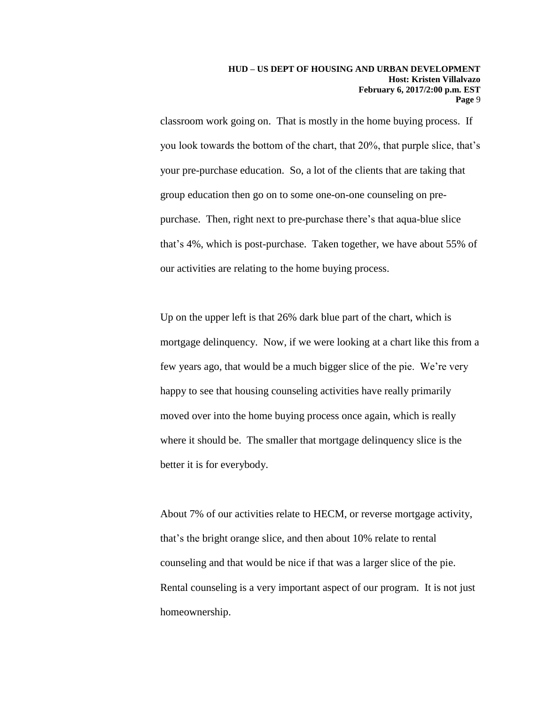classroom work going on. That is mostly in the home buying process. If you look towards the bottom of the chart, that 20%, that purple slice, that's your pre-purchase education. So, a lot of the clients that are taking that group education then go on to some one-on-one counseling on prepurchase. Then, right next to pre-purchase there's that aqua-blue slice that's 4%, which is post-purchase. Taken together, we have about 55% of our activities are relating to the home buying process.

Up on the upper left is that 26% dark blue part of the chart, which is mortgage delinquency. Now, if we were looking at a chart like this from a few years ago, that would be a much bigger slice of the pie. We're very happy to see that housing counseling activities have really primarily moved over into the home buying process once again, which is really where it should be. The smaller that mortgage delinquency slice is the better it is for everybody.

About 7% of our activities relate to HECM, or reverse mortgage activity, that's the bright orange slice, and then about 10% relate to rental counseling and that would be nice if that was a larger slice of the pie. Rental counseling is a very important aspect of our program. It is not just homeownership.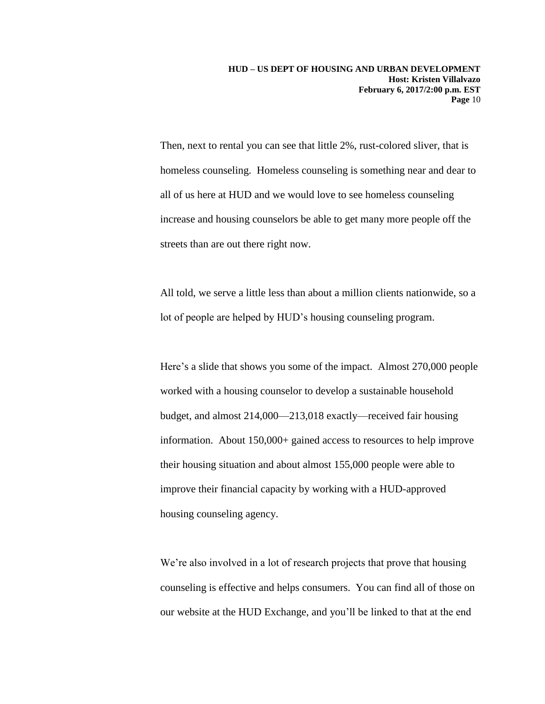Then, next to rental you can see that little 2%, rust-colored sliver, that is homeless counseling. Homeless counseling is something near and dear to all of us here at HUD and we would love to see homeless counseling increase and housing counselors be able to get many more people off the streets than are out there right now.

All told, we serve a little less than about a million clients nationwide, so a lot of people are helped by HUD's housing counseling program.

Here's a slide that shows you some of the impact. Almost 270,000 people worked with a housing counselor to develop a sustainable household budget, and almost 214,000—213,018 exactly—received fair housing information. About 150,000+ gained access to resources to help improve their housing situation and about almost 155,000 people were able to improve their financial capacity by working with a HUD-approved housing counseling agency.

We're also involved in a lot of research projects that prove that housing counseling is effective and helps consumers. You can find all of those on our website at the HUD Exchange, and you'll be linked to that at the end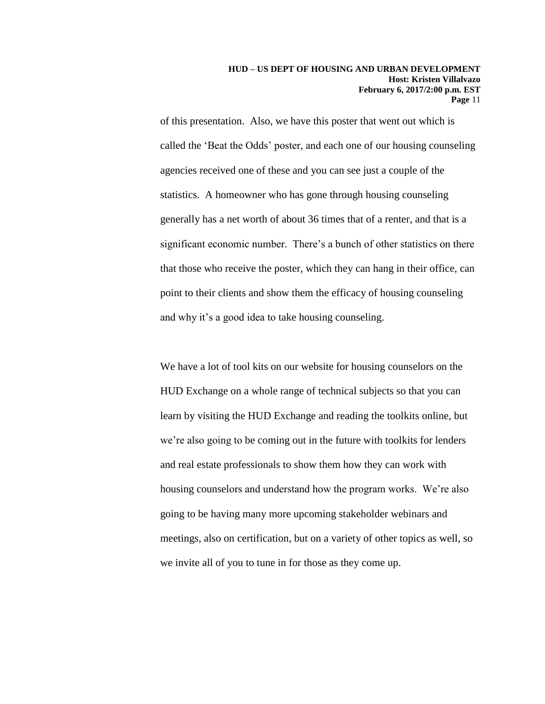of this presentation. Also, we have this poster that went out which is called the 'Beat the Odds' poster, and each one of our housing counseling agencies received one of these and you can see just a couple of the statistics. A homeowner who has gone through housing counseling generally has a net worth of about 36 times that of a renter, and that is a significant economic number. There's a bunch of other statistics on there that those who receive the poster, which they can hang in their office, can point to their clients and show them the efficacy of housing counseling and why it's a good idea to take housing counseling.

We have a lot of tool kits on our website for housing counselors on the HUD Exchange on a whole range of technical subjects so that you can learn by visiting the HUD Exchange and reading the toolkits online, but we're also going to be coming out in the future with toolkits for lenders and real estate professionals to show them how they can work with housing counselors and understand how the program works. We're also going to be having many more upcoming stakeholder webinars and meetings, also on certification, but on a variety of other topics as well, so we invite all of you to tune in for those as they come up.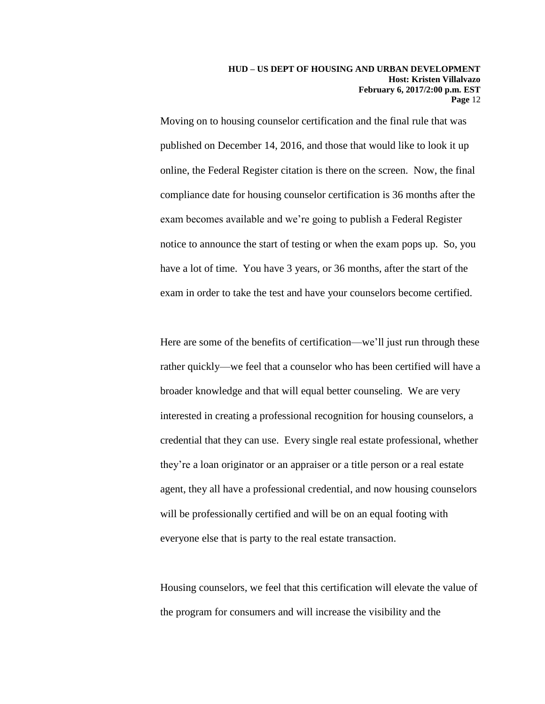Moving on to housing counselor certification and the final rule that was published on December 14, 2016, and those that would like to look it up online, the Federal Register citation is there on the screen. Now, the final compliance date for housing counselor certification is 36 months after the exam becomes available and we're going to publish a Federal Register notice to announce the start of testing or when the exam pops up. So, you have a lot of time. You have 3 years, or 36 months, after the start of the exam in order to take the test and have your counselors become certified.

Here are some of the benefits of certification—we'll just run through these rather quickly—we feel that a counselor who has been certified will have a broader knowledge and that will equal better counseling. We are very interested in creating a professional recognition for housing counselors, a credential that they can use. Every single real estate professional, whether they're a loan originator or an appraiser or a title person or a real estate agent, they all have a professional credential, and now housing counselors will be professionally certified and will be on an equal footing with everyone else that is party to the real estate transaction.

Housing counselors, we feel that this certification will elevate the value of the program for consumers and will increase the visibility and the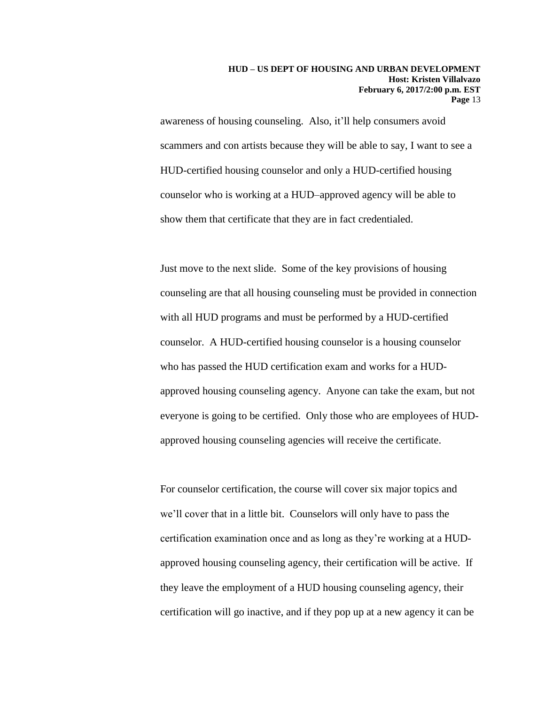awareness of housing counseling. Also, it'll help consumers avoid scammers and con artists because they will be able to say, I want to see a HUD-certified housing counselor and only a HUD-certified housing counselor who is working at a HUD–approved agency will be able to show them that certificate that they are in fact credentialed.

Just move to the next slide. Some of the key provisions of housing counseling are that all housing counseling must be provided in connection with all HUD programs and must be performed by a HUD-certified counselor. A HUD-certified housing counselor is a housing counselor who has passed the HUD certification exam and works for a HUDapproved housing counseling agency. Anyone can take the exam, but not everyone is going to be certified. Only those who are employees of HUDapproved housing counseling agencies will receive the certificate.

For counselor certification, the course will cover six major topics and we'll cover that in a little bit. Counselors will only have to pass the certification examination once and as long as they're working at a HUDapproved housing counseling agency, their certification will be active. If they leave the employment of a HUD housing counseling agency, their certification will go inactive, and if they pop up at a new agency it can be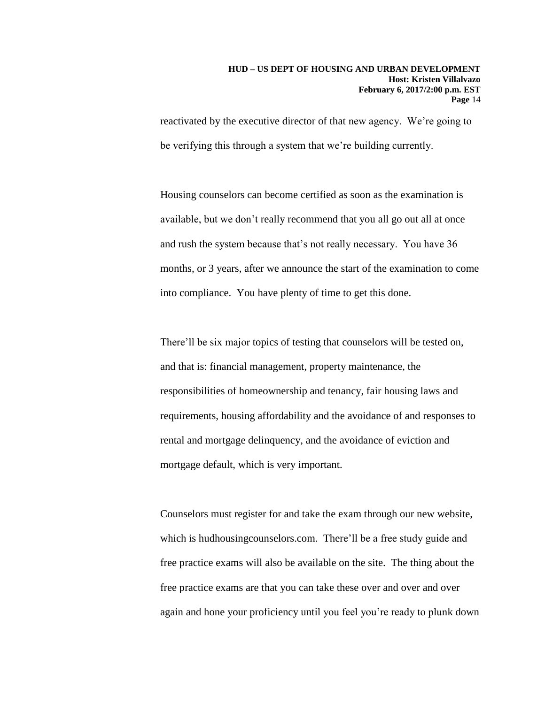reactivated by the executive director of that new agency. We're going to be verifying this through a system that we're building currently.

Housing counselors can become certified as soon as the examination is available, but we don't really recommend that you all go out all at once and rush the system because that's not really necessary. You have 36 months, or 3 years, after we announce the start of the examination to come into compliance. You have plenty of time to get this done.

There'll be six major topics of testing that counselors will be tested on, and that is: financial management, property maintenance, the responsibilities of homeownership and tenancy, fair housing laws and requirements, housing affordability and the avoidance of and responses to rental and mortgage delinquency, and the avoidance of eviction and mortgage default, which is very important.

Counselors must register for and take the exam through our new website, which is hudhousingcounselors.com. There'll be a free study guide and free practice exams will also be available on the site. The thing about the free practice exams are that you can take these over and over and over again and hone your proficiency until you feel you're ready to plunk down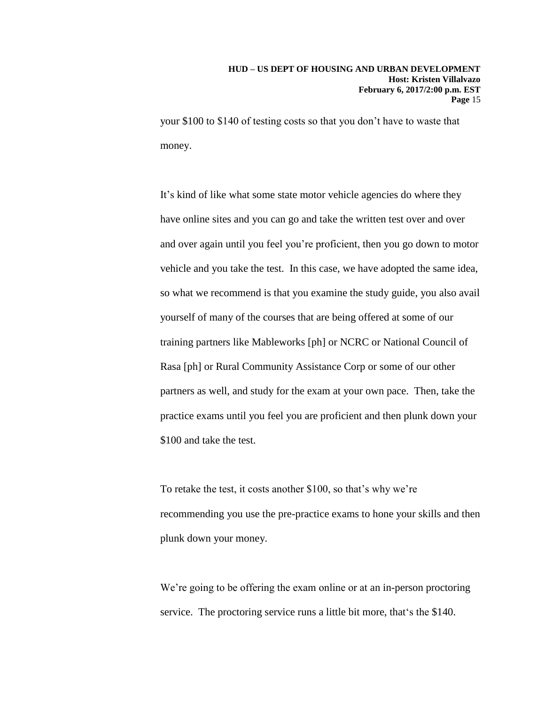your \$100 to \$140 of testing costs so that you don't have to waste that money.

It's kind of like what some state motor vehicle agencies do where they have online sites and you can go and take the written test over and over and over again until you feel you're proficient, then you go down to motor vehicle and you take the test. In this case, we have adopted the same idea, so what we recommend is that you examine the study guide, you also avail yourself of many of the courses that are being offered at some of our training partners like Mableworks [ph] or NCRC or National Council of Rasa [ph] or Rural Community Assistance Corp or some of our other partners as well, and study for the exam at your own pace. Then, take the practice exams until you feel you are proficient and then plunk down your \$100 and take the test.

To retake the test, it costs another \$100, so that's why we're recommending you use the pre-practice exams to hone your skills and then plunk down your money.

We're going to be offering the exam online or at an in-person proctoring service. The proctoring service runs a little bit more, that's the \$140.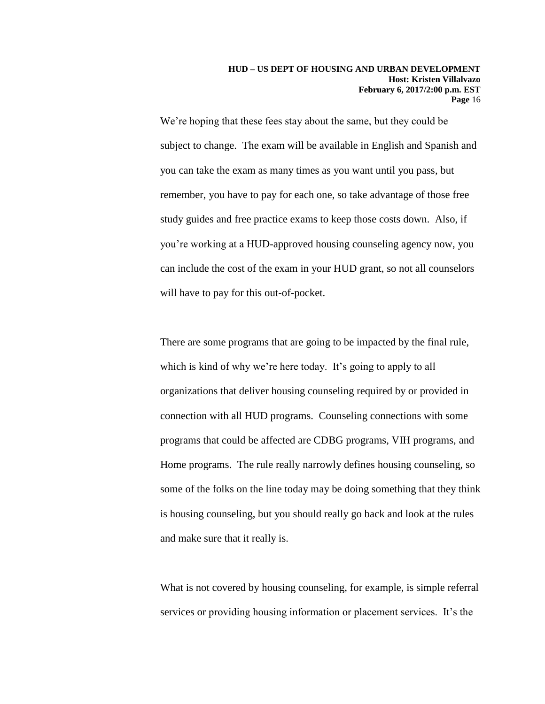We're hoping that these fees stay about the same, but they could be subject to change. The exam will be available in English and Spanish and you can take the exam as many times as you want until you pass, but remember, you have to pay for each one, so take advantage of those free study guides and free practice exams to keep those costs down. Also, if you're working at a HUD-approved housing counseling agency now, you can include the cost of the exam in your HUD grant, so not all counselors will have to pay for this out-of-pocket.

There are some programs that are going to be impacted by the final rule, which is kind of why we're here today. It's going to apply to all organizations that deliver housing counseling required by or provided in connection with all HUD programs. Counseling connections with some programs that could be affected are CDBG programs, VIH programs, and Home programs. The rule really narrowly defines housing counseling, so some of the folks on the line today may be doing something that they think is housing counseling, but you should really go back and look at the rules and make sure that it really is.

What is not covered by housing counseling, for example, is simple referral services or providing housing information or placement services. It's the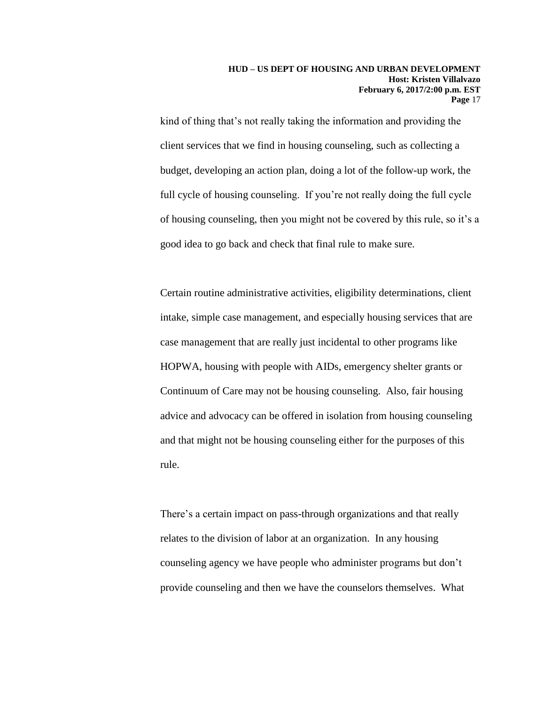kind of thing that's not really taking the information and providing the client services that we find in housing counseling, such as collecting a budget, developing an action plan, doing a lot of the follow-up work, the full cycle of housing counseling. If you're not really doing the full cycle of housing counseling, then you might not be covered by this rule, so it's a good idea to go back and check that final rule to make sure.

Certain routine administrative activities, eligibility determinations, client intake, simple case management, and especially housing services that are case management that are really just incidental to other programs like HOPWA, housing with people with AIDs, emergency shelter grants or Continuum of Care may not be housing counseling. Also, fair housing advice and advocacy can be offered in isolation from housing counseling and that might not be housing counseling either for the purposes of this rule.

There's a certain impact on pass-through organizations and that really relates to the division of labor at an organization. In any housing counseling agency we have people who administer programs but don't provide counseling and then we have the counselors themselves. What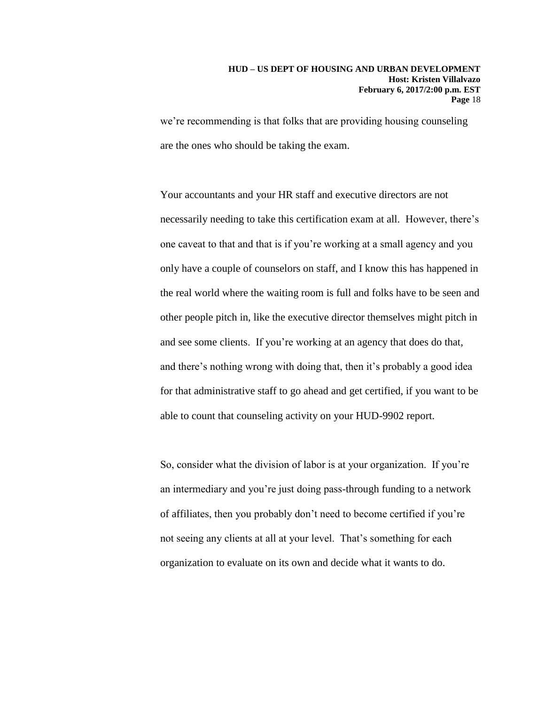we're recommending is that folks that are providing housing counseling are the ones who should be taking the exam.

Your accountants and your HR staff and executive directors are not necessarily needing to take this certification exam at all. However, there's one caveat to that and that is if you're working at a small agency and you only have a couple of counselors on staff, and I know this has happened in the real world where the waiting room is full and folks have to be seen and other people pitch in, like the executive director themselves might pitch in and see some clients. If you're working at an agency that does do that, and there's nothing wrong with doing that, then it's probably a good idea for that administrative staff to go ahead and get certified, if you want to be able to count that counseling activity on your HUD-9902 report.

So, consider what the division of labor is at your organization. If you're an intermediary and you're just doing pass-through funding to a network of affiliates, then you probably don't need to become certified if you're not seeing any clients at all at your level. That's something for each organization to evaluate on its own and decide what it wants to do.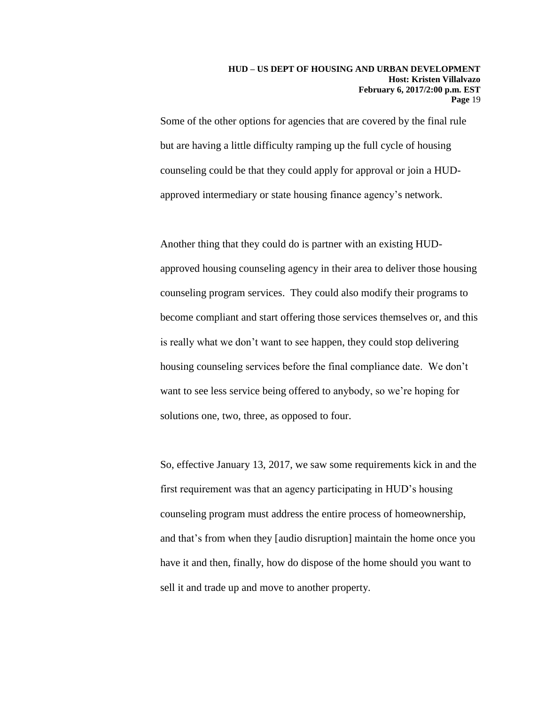Some of the other options for agencies that are covered by the final rule but are having a little difficulty ramping up the full cycle of housing counseling could be that they could apply for approval or join a HUDapproved intermediary or state housing finance agency's network.

Another thing that they could do is partner with an existing HUDapproved housing counseling agency in their area to deliver those housing counseling program services. They could also modify their programs to become compliant and start offering those services themselves or, and this is really what we don't want to see happen, they could stop delivering housing counseling services before the final compliance date. We don't want to see less service being offered to anybody, so we're hoping for solutions one, two, three, as opposed to four.

So, effective January 13, 2017, we saw some requirements kick in and the first requirement was that an agency participating in HUD's housing counseling program must address the entire process of homeownership, and that's from when they [audio disruption] maintain the home once you have it and then, finally, how do dispose of the home should you want to sell it and trade up and move to another property.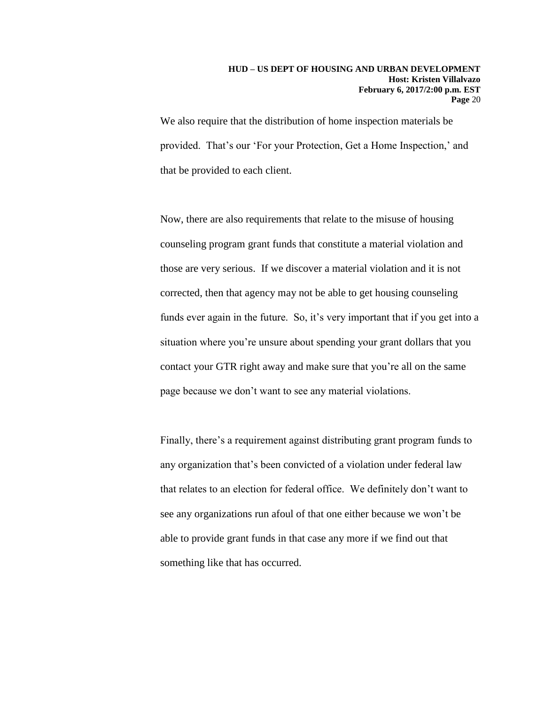We also require that the distribution of home inspection materials be provided. That's our 'For your Protection, Get a Home Inspection,' and that be provided to each client.

Now, there are also requirements that relate to the misuse of housing counseling program grant funds that constitute a material violation and those are very serious. If we discover a material violation and it is not corrected, then that agency may not be able to get housing counseling funds ever again in the future. So, it's very important that if you get into a situation where you're unsure about spending your grant dollars that you contact your GTR right away and make sure that you're all on the same page because we don't want to see any material violations.

Finally, there's a requirement against distributing grant program funds to any organization that's been convicted of a violation under federal law that relates to an election for federal office. We definitely don't want to see any organizations run afoul of that one either because we won't be able to provide grant funds in that case any more if we find out that something like that has occurred.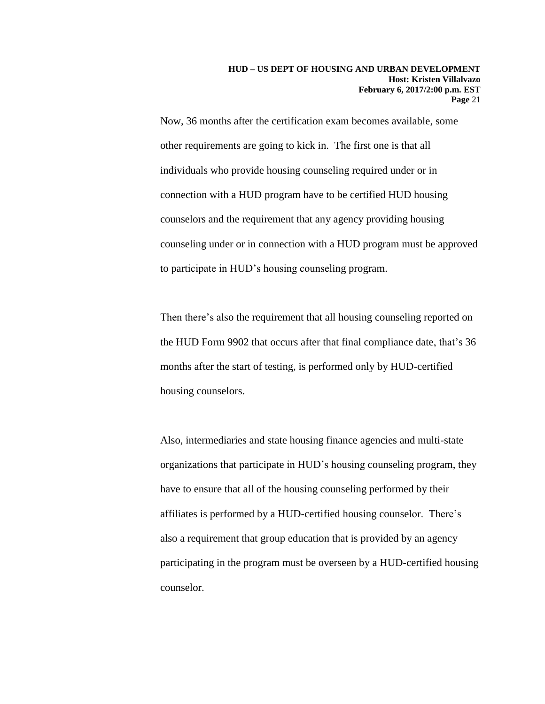Now, 36 months after the certification exam becomes available, some other requirements are going to kick in. The first one is that all individuals who provide housing counseling required under or in connection with a HUD program have to be certified HUD housing counselors and the requirement that any agency providing housing counseling under or in connection with a HUD program must be approved to participate in HUD's housing counseling program.

Then there's also the requirement that all housing counseling reported on the HUD Form 9902 that occurs after that final compliance date, that's 36 months after the start of testing, is performed only by HUD-certified housing counselors.

Also, intermediaries and state housing finance agencies and multi-state organizations that participate in HUD's housing counseling program, they have to ensure that all of the housing counseling performed by their affiliates is performed by a HUD-certified housing counselor. There's also a requirement that group education that is provided by an agency participating in the program must be overseen by a HUD-certified housing counselor.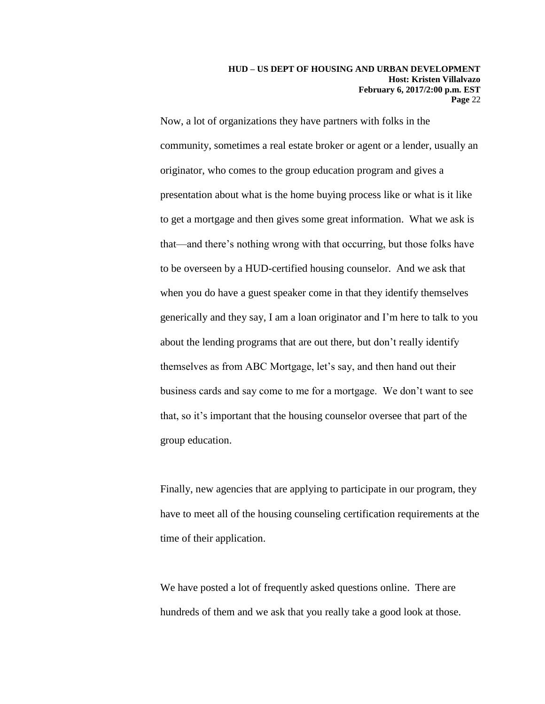Now, a lot of organizations they have partners with folks in the community, sometimes a real estate broker or agent or a lender, usually an originator, who comes to the group education program and gives a presentation about what is the home buying process like or what is it like to get a mortgage and then gives some great information. What we ask is that—and there's nothing wrong with that occurring, but those folks have to be overseen by a HUD-certified housing counselor. And we ask that when you do have a guest speaker come in that they identify themselves generically and they say, I am a loan originator and I'm here to talk to you about the lending programs that are out there, but don't really identify themselves as from ABC Mortgage, let's say, and then hand out their business cards and say come to me for a mortgage. We don't want to see that, so it's important that the housing counselor oversee that part of the group education.

Finally, new agencies that are applying to participate in our program, they have to meet all of the housing counseling certification requirements at the time of their application.

We have posted a lot of frequently asked questions online. There are hundreds of them and we ask that you really take a good look at those.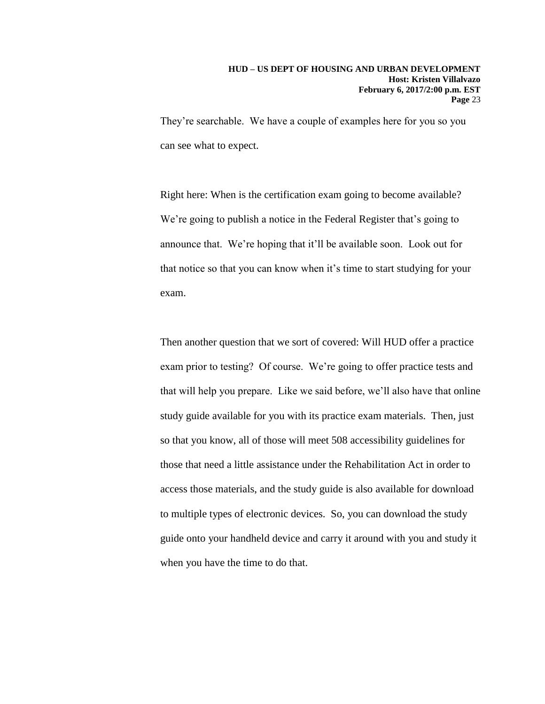They're searchable. We have a couple of examples here for you so you can see what to expect.

Right here: When is the certification exam going to become available? We're going to publish a notice in the Federal Register that's going to announce that. We're hoping that it'll be available soon. Look out for that notice so that you can know when it's time to start studying for your exam.

Then another question that we sort of covered: Will HUD offer a practice exam prior to testing? Of course. We're going to offer practice tests and that will help you prepare. Like we said before, we'll also have that online study guide available for you with its practice exam materials. Then, just so that you know, all of those will meet 508 accessibility guidelines for those that need a little assistance under the Rehabilitation Act in order to access those materials, and the study guide is also available for download to multiple types of electronic devices. So, you can download the study guide onto your handheld device and carry it around with you and study it when you have the time to do that.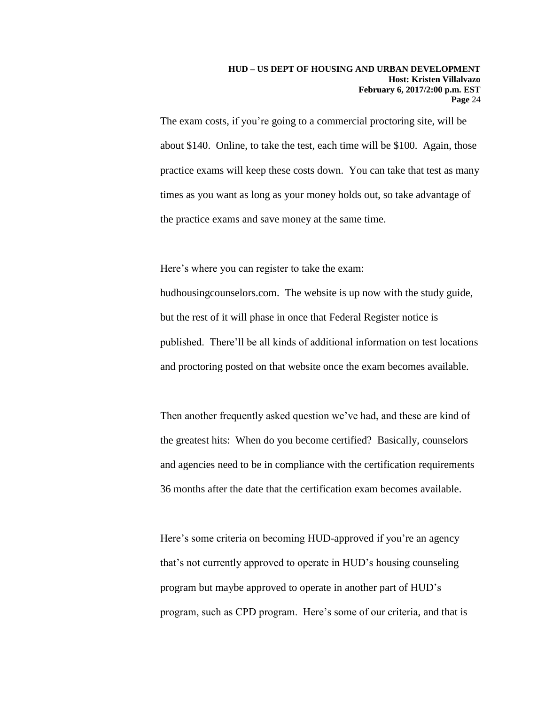The exam costs, if you're going to a commercial proctoring site, will be about \$140. Online, to take the test, each time will be \$100. Again, those practice exams will keep these costs down. You can take that test as many times as you want as long as your money holds out, so take advantage of the practice exams and save money at the same time.

Here's where you can register to take the exam:

hudhousingcounselors.com. The website is up now with the study guide, but the rest of it will phase in once that Federal Register notice is published. There'll be all kinds of additional information on test locations and proctoring posted on that website once the exam becomes available.

Then another frequently asked question we've had, and these are kind of the greatest hits: When do you become certified? Basically, counselors and agencies need to be in compliance with the certification requirements 36 months after the date that the certification exam becomes available.

Here's some criteria on becoming HUD-approved if you're an agency that's not currently approved to operate in HUD's housing counseling program but maybe approved to operate in another part of HUD's program, such as CPD program. Here's some of our criteria, and that is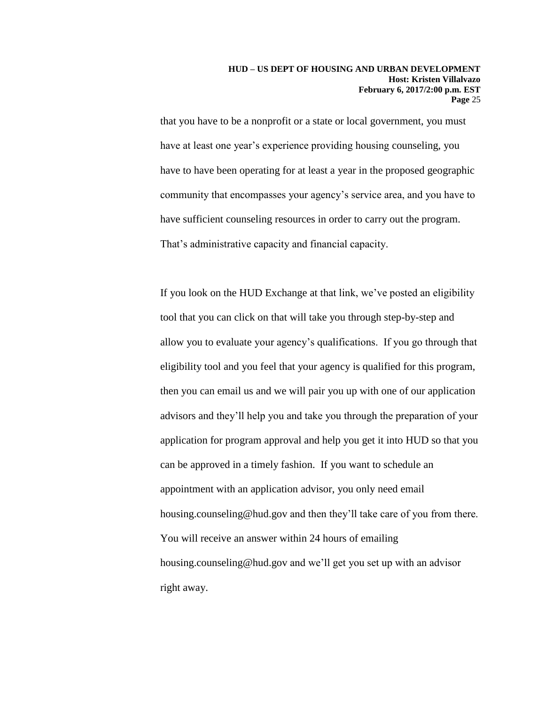that you have to be a nonprofit or a state or local government, you must have at least one year's experience providing housing counseling, you have to have been operating for at least a year in the proposed geographic community that encompasses your agency's service area, and you have to have sufficient counseling resources in order to carry out the program. That's administrative capacity and financial capacity.

If you look on the HUD Exchange at that link, we've posted an eligibility tool that you can click on that will take you through step-by-step and allow you to evaluate your agency's qualifications. If you go through that eligibility tool and you feel that your agency is qualified for this program, then you can email us and we will pair you up with one of our application advisors and they'll help you and take you through the preparation of your application for program approval and help you get it into HUD so that you can be approved in a timely fashion. If you want to schedule an appointment with an application advisor, you only need email housing.counseling@hud.gov and then they'll take care of you from there. You will receive an answer within 24 hours of emailing housing.counseling@hud.gov and we'll get you set up with an advisor right away.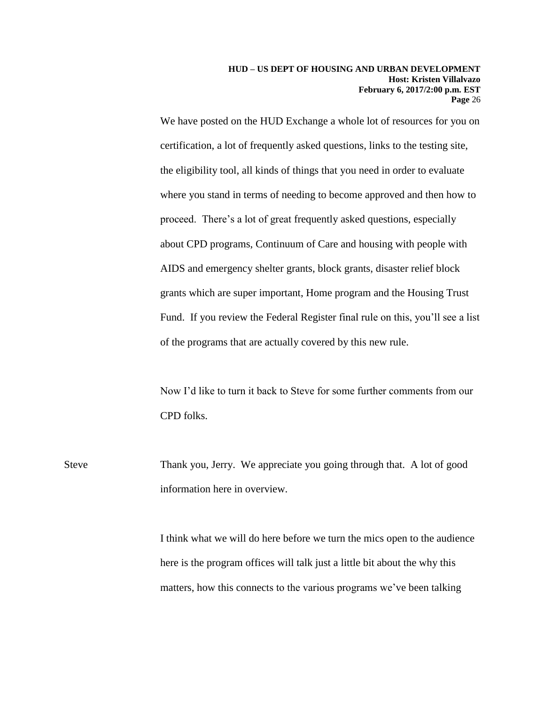We have posted on the HUD Exchange a whole lot of resources for you on certification, a lot of frequently asked questions, links to the testing site, the eligibility tool, all kinds of things that you need in order to evaluate where you stand in terms of needing to become approved and then how to proceed. There's a lot of great frequently asked questions, especially about CPD programs, Continuum of Care and housing with people with AIDS and emergency shelter grants, block grants, disaster relief block grants which are super important, Home program and the Housing Trust Fund. If you review the Federal Register final rule on this, you'll see a list of the programs that are actually covered by this new rule.

Now I'd like to turn it back to Steve for some further comments from our CPD folks.

Steve Thank you, Jerry. We appreciate you going through that. A lot of good information here in overview.

> I think what we will do here before we turn the mics open to the audience here is the program offices will talk just a little bit about the why this matters, how this connects to the various programs we've been talking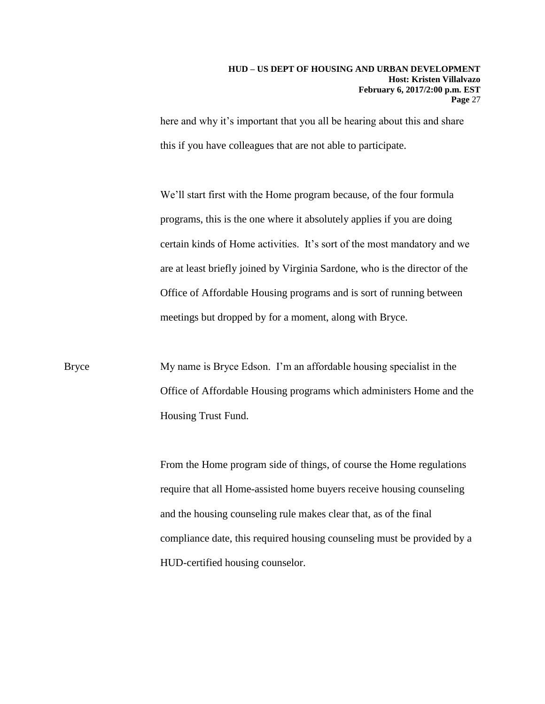here and why it's important that you all be hearing about this and share this if you have colleagues that are not able to participate.

We'll start first with the Home program because, of the four formula programs, this is the one where it absolutely applies if you are doing certain kinds of Home activities. It's sort of the most mandatory and we are at least briefly joined by Virginia Sardone, who is the director of the Office of Affordable Housing programs and is sort of running between meetings but dropped by for a moment, along with Bryce.

Bryce My name is Bryce Edson. I'm an affordable housing specialist in the Office of Affordable Housing programs which administers Home and the Housing Trust Fund.

> From the Home program side of things, of course the Home regulations require that all Home-assisted home buyers receive housing counseling and the housing counseling rule makes clear that, as of the final compliance date, this required housing counseling must be provided by a HUD-certified housing counselor.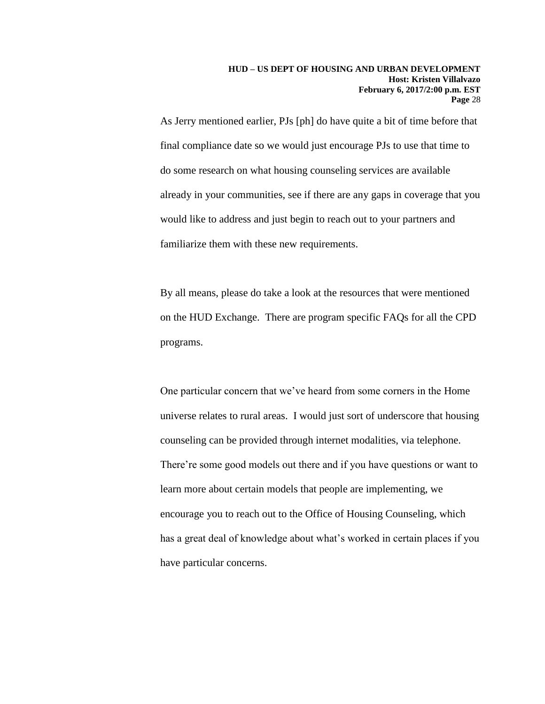As Jerry mentioned earlier, PJs [ph] do have quite a bit of time before that final compliance date so we would just encourage PJs to use that time to do some research on what housing counseling services are available already in your communities, see if there are any gaps in coverage that you would like to address and just begin to reach out to your partners and familiarize them with these new requirements.

By all means, please do take a look at the resources that were mentioned on the HUD Exchange. There are program specific FAQs for all the CPD programs.

One particular concern that we've heard from some corners in the Home universe relates to rural areas. I would just sort of underscore that housing counseling can be provided through internet modalities, via telephone. There're some good models out there and if you have questions or want to learn more about certain models that people are implementing, we encourage you to reach out to the Office of Housing Counseling, which has a great deal of knowledge about what's worked in certain places if you have particular concerns.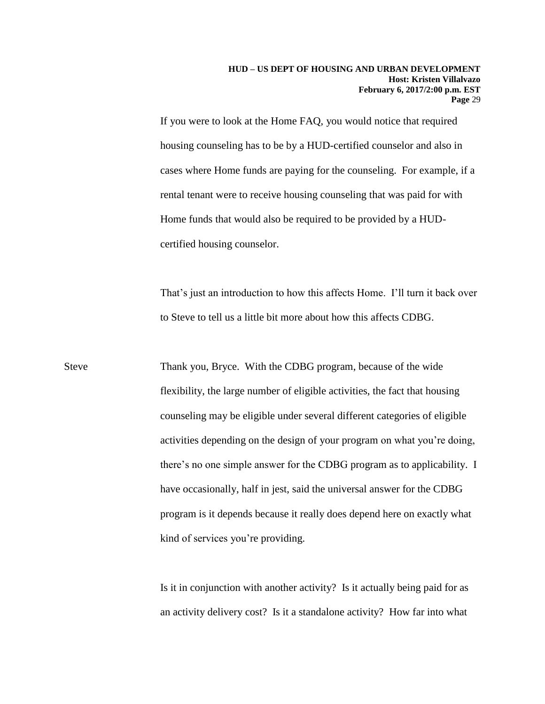If you were to look at the Home FAQ, you would notice that required housing counseling has to be by a HUD-certified counselor and also in cases where Home funds are paying for the counseling. For example, if a rental tenant were to receive housing counseling that was paid for with Home funds that would also be required to be provided by a HUDcertified housing counselor.

That's just an introduction to how this affects Home. I'll turn it back over to Steve to tell us a little bit more about how this affects CDBG.

Steve Thank you, Bryce. With the CDBG program, because of the wide flexibility, the large number of eligible activities, the fact that housing counseling may be eligible under several different categories of eligible activities depending on the design of your program on what you're doing, there's no one simple answer for the CDBG program as to applicability. I have occasionally, half in jest, said the universal answer for the CDBG program is it depends because it really does depend here on exactly what kind of services you're providing.

> Is it in conjunction with another activity? Is it actually being paid for as an activity delivery cost? Is it a standalone activity? How far into what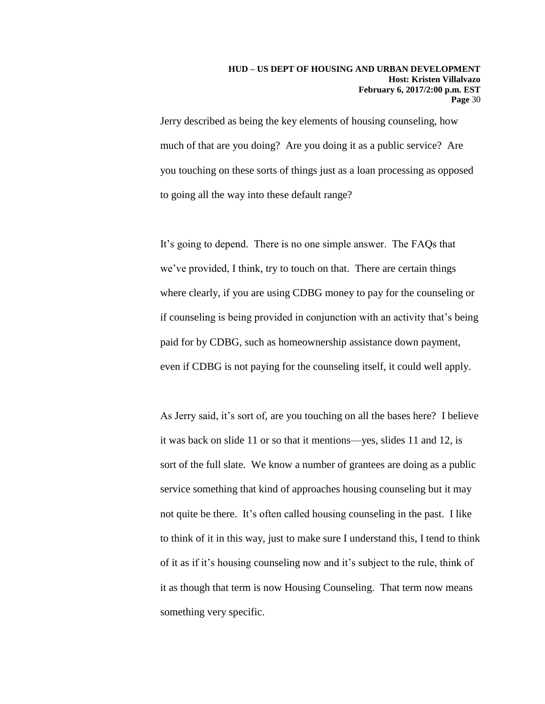Jerry described as being the key elements of housing counseling, how much of that are you doing? Are you doing it as a public service? Are you touching on these sorts of things just as a loan processing as opposed to going all the way into these default range?

It's going to depend. There is no one simple answer. The FAQs that we've provided, I think, try to touch on that. There are certain things where clearly, if you are using CDBG money to pay for the counseling or if counseling is being provided in conjunction with an activity that's being paid for by CDBG, such as homeownership assistance down payment, even if CDBG is not paying for the counseling itself, it could well apply.

As Jerry said, it's sort of, are you touching on all the bases here? I believe it was back on slide 11 or so that it mentions—yes, slides 11 and 12, is sort of the full slate. We know a number of grantees are doing as a public service something that kind of approaches housing counseling but it may not quite be there. It's often called housing counseling in the past. I like to think of it in this way, just to make sure I understand this, I tend to think of it as if it's housing counseling now and it's subject to the rule, think of it as though that term is now Housing Counseling. That term now means something very specific.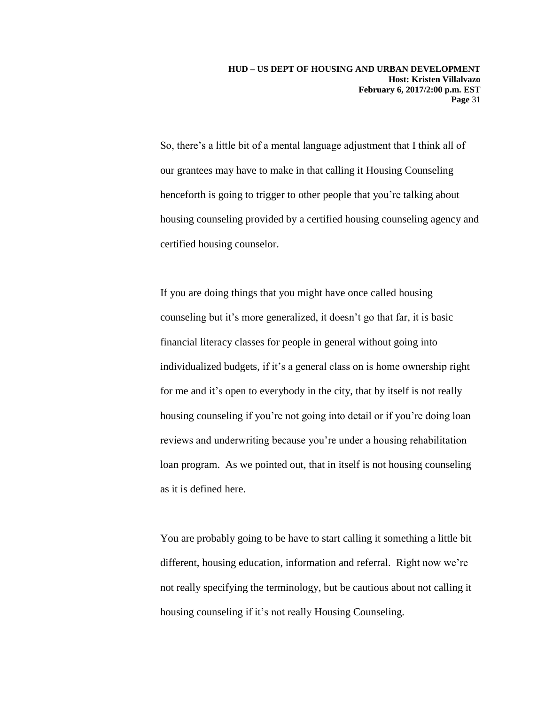So, there's a little bit of a mental language adjustment that I think all of our grantees may have to make in that calling it Housing Counseling henceforth is going to trigger to other people that you're talking about housing counseling provided by a certified housing counseling agency and certified housing counselor.

If you are doing things that you might have once called housing counseling but it's more generalized, it doesn't go that far, it is basic financial literacy classes for people in general without going into individualized budgets, if it's a general class on is home ownership right for me and it's open to everybody in the city, that by itself is not really housing counseling if you're not going into detail or if you're doing loan reviews and underwriting because you're under a housing rehabilitation loan program. As we pointed out, that in itself is not housing counseling as it is defined here.

You are probably going to be have to start calling it something a little bit different, housing education, information and referral. Right now we're not really specifying the terminology, but be cautious about not calling it housing counseling if it's not really Housing Counseling.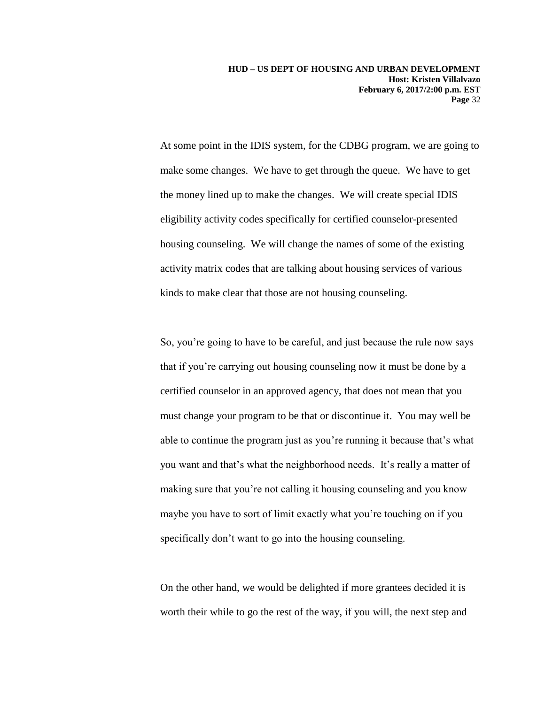At some point in the IDIS system, for the CDBG program, we are going to make some changes. We have to get through the queue. We have to get the money lined up to make the changes. We will create special IDIS eligibility activity codes specifically for certified counselor-presented housing counseling. We will change the names of some of the existing activity matrix codes that are talking about housing services of various kinds to make clear that those are not housing counseling.

So, you're going to have to be careful, and just because the rule now says that if you're carrying out housing counseling now it must be done by a certified counselor in an approved agency, that does not mean that you must change your program to be that or discontinue it. You may well be able to continue the program just as you're running it because that's what you want and that's what the neighborhood needs. It's really a matter of making sure that you're not calling it housing counseling and you know maybe you have to sort of limit exactly what you're touching on if you specifically don't want to go into the housing counseling.

On the other hand, we would be delighted if more grantees decided it is worth their while to go the rest of the way, if you will, the next step and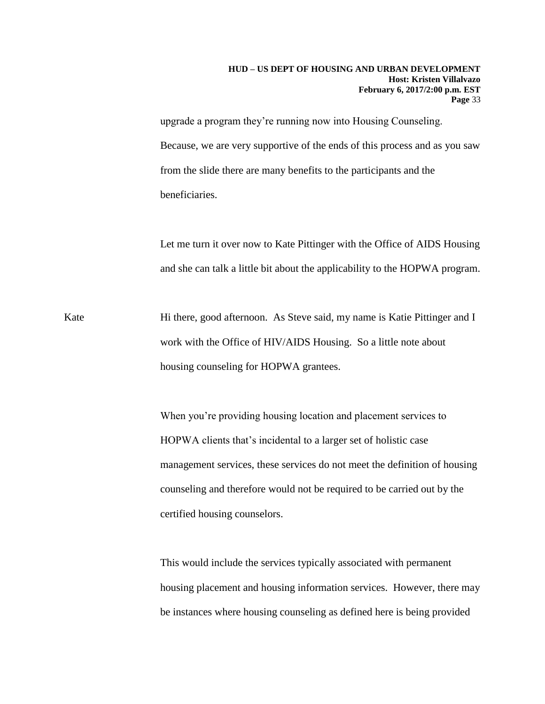upgrade a program they're running now into Housing Counseling. Because, we are very supportive of the ends of this process and as you saw from the slide there are many benefits to the participants and the beneficiaries.

Let me turn it over now to Kate Pittinger with the Office of AIDS Housing and she can talk a little bit about the applicability to the HOPWA program.

Kate Hi there, good afternoon. As Steve said, my name is Katie Pittinger and I work with the Office of HIV/AIDS Housing. So a little note about housing counseling for HOPWA grantees.

> When you're providing housing location and placement services to HOPWA clients that's incidental to a larger set of holistic case management services, these services do not meet the definition of housing counseling and therefore would not be required to be carried out by the certified housing counselors.

> This would include the services typically associated with permanent housing placement and housing information services. However, there may be instances where housing counseling as defined here is being provided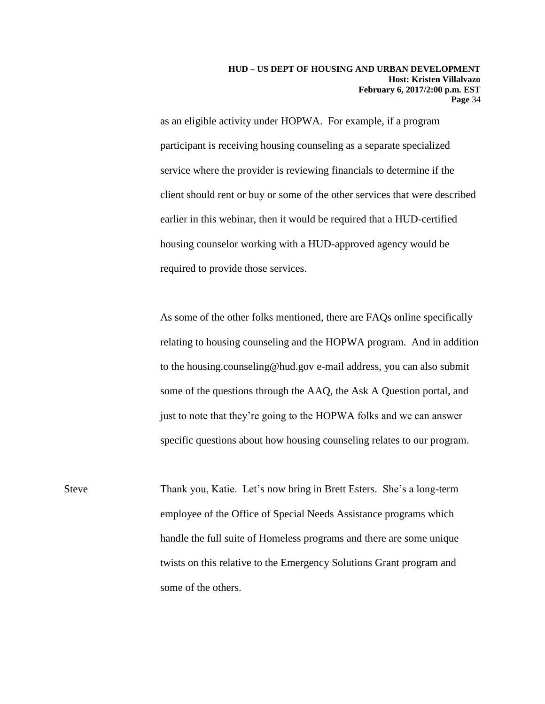as an eligible activity under HOPWA. For example, if a program participant is receiving housing counseling as a separate specialized service where the provider is reviewing financials to determine if the client should rent or buy or some of the other services that were described earlier in this webinar, then it would be required that a HUD-certified housing counselor working with a HUD-approved agency would be required to provide those services.

As some of the other folks mentioned, there are FAQs online specifically relating to housing counseling and the HOPWA program. And in addition to the housing.counseling@hud.gov e-mail address, you can also submit some of the questions through the AAQ, the Ask A Question portal, and just to note that they're going to the HOPWA folks and we can answer specific questions about how housing counseling relates to our program.

Steve Thank you, Katie. Let's now bring in Brett Esters. She's a long-term employee of the Office of Special Needs Assistance programs which handle the full suite of Homeless programs and there are some unique twists on this relative to the Emergency Solutions Grant program and some of the others.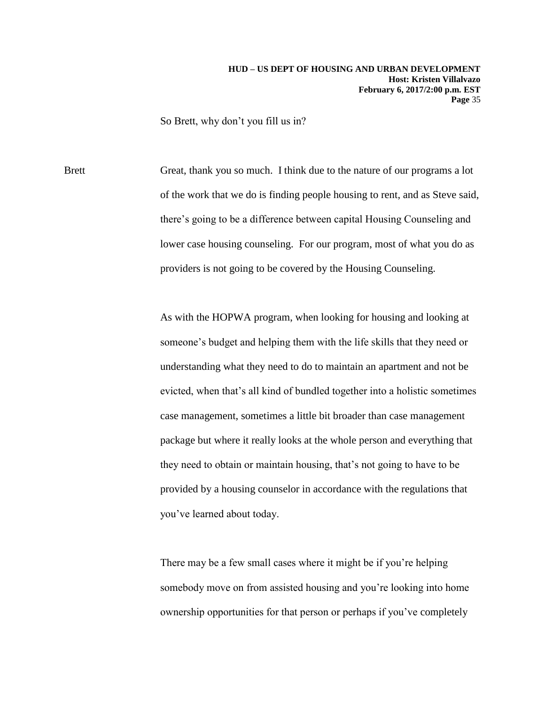So Brett, why don't you fill us in?

Brett Great, thank you so much. I think due to the nature of our programs a lot of the work that we do is finding people housing to rent, and as Steve said, there's going to be a difference between capital Housing Counseling and lower case housing counseling. For our program, most of what you do as providers is not going to be covered by the Housing Counseling.

> As with the HOPWA program, when looking for housing and looking at someone's budget and helping them with the life skills that they need or understanding what they need to do to maintain an apartment and not be evicted, when that's all kind of bundled together into a holistic sometimes case management, sometimes a little bit broader than case management package but where it really looks at the whole person and everything that they need to obtain or maintain housing, that's not going to have to be provided by a housing counselor in accordance with the regulations that you've learned about today.

There may be a few small cases where it might be if you're helping somebody move on from assisted housing and you're looking into home ownership opportunities for that person or perhaps if you've completely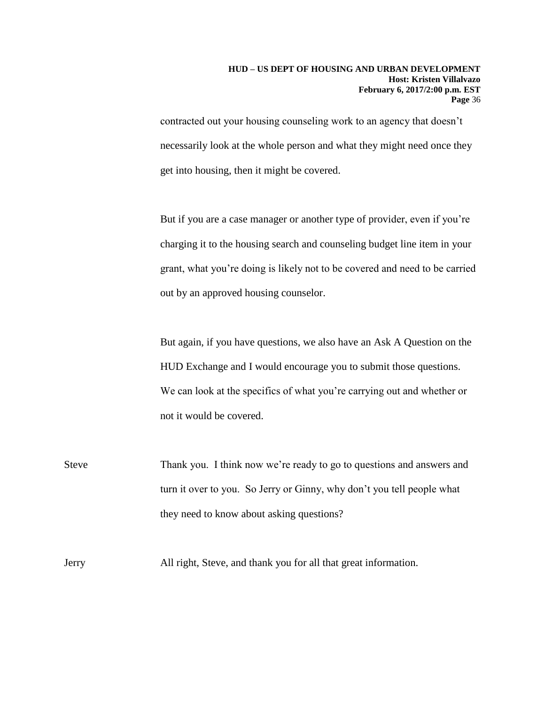contracted out your housing counseling work to an agency that doesn't necessarily look at the whole person and what they might need once they get into housing, then it might be covered.

But if you are a case manager or another type of provider, even if you're charging it to the housing search and counseling budget line item in your grant, what you're doing is likely not to be covered and need to be carried out by an approved housing counselor.

But again, if you have questions, we also have an Ask A Question on the HUD Exchange and I would encourage you to submit those questions. We can look at the specifics of what you're carrying out and whether or not it would be covered.

Steve Thank you. I think now we're ready to go to questions and answers and turn it over to you. So Jerry or Ginny, why don't you tell people what they need to know about asking questions?

Jerry All right, Steve, and thank you for all that great information.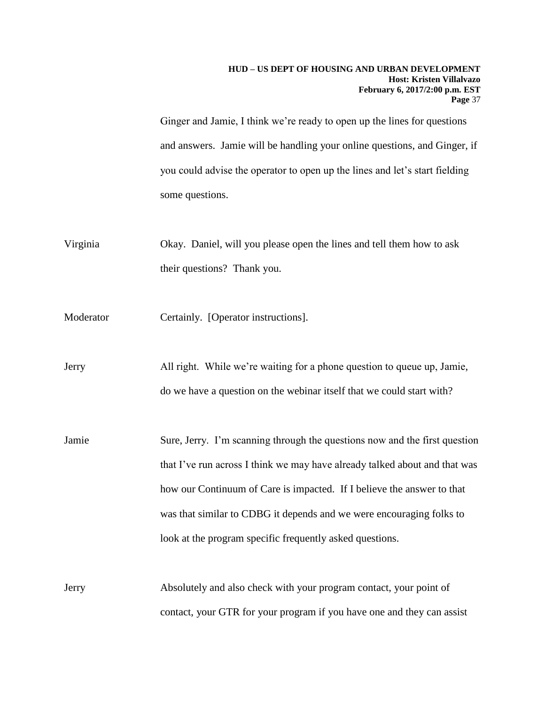Ginger and Jamie, I think we're ready to open up the lines for questions and answers. Jamie will be handling your online questions, and Ginger, if you could advise the operator to open up the lines and let's start fielding some questions.

Virginia Okay. Daniel, will you please open the lines and tell them how to ask their questions? Thank you.

Moderator Certainly. [Operator instructions].

Jerry All right. While we're waiting for a phone question to queue up, Jamie, do we have a question on the webinar itself that we could start with?

Jamie Sure, Jerry. I'm scanning through the questions now and the first question that I've run across I think we may have already talked about and that was how our Continuum of Care is impacted. If I believe the answer to that was that similar to CDBG it depends and we were encouraging folks to look at the program specific frequently asked questions.

Jerry Absolutely and also check with your program contact, your point of contact, your GTR for your program if you have one and they can assist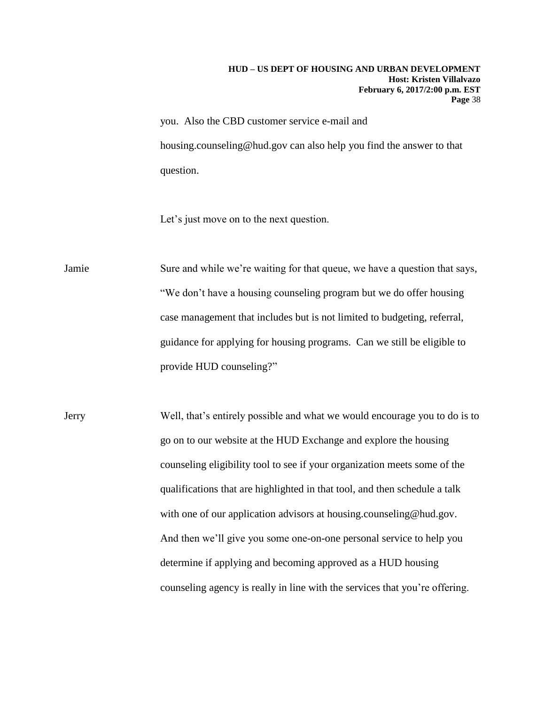you. Also the CBD customer service e-mail and housing.counseling@hud.gov can also help you find the answer to that question.

Let's just move on to the next question.

Jamie Sure and while we're waiting for that queue, we have a question that says, "We don't have a housing counseling program but we do offer housing case management that includes but is not limited to budgeting, referral, guidance for applying for housing programs. Can we still be eligible to provide HUD counseling?"

Jerry Well, that's entirely possible and what we would encourage you to do is to go on to our website at the HUD Exchange and explore the housing counseling eligibility tool to see if your organization meets some of the qualifications that are highlighted in that tool, and then schedule a talk with one of our application advisors at housing.counseling@hud.gov. And then we'll give you some one-on-one personal service to help you determine if applying and becoming approved as a HUD housing counseling agency is really in line with the services that you're offering.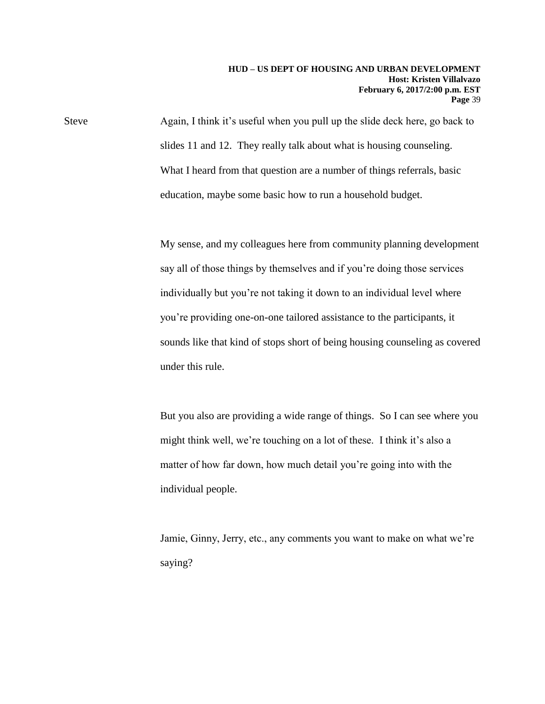Steve Again, I think it's useful when you pull up the slide deck here, go back to slides 11 and 12. They really talk about what is housing counseling. What I heard from that question are a number of things referrals, basic education, maybe some basic how to run a household budget.

> My sense, and my colleagues here from community planning development say all of those things by themselves and if you're doing those services individually but you're not taking it down to an individual level where you're providing one-on-one tailored assistance to the participants, it sounds like that kind of stops short of being housing counseling as covered under this rule.

> But you also are providing a wide range of things. So I can see where you might think well, we're touching on a lot of these. I think it's also a matter of how far down, how much detail you're going into with the individual people.

Jamie, Ginny, Jerry, etc., any comments you want to make on what we're saying?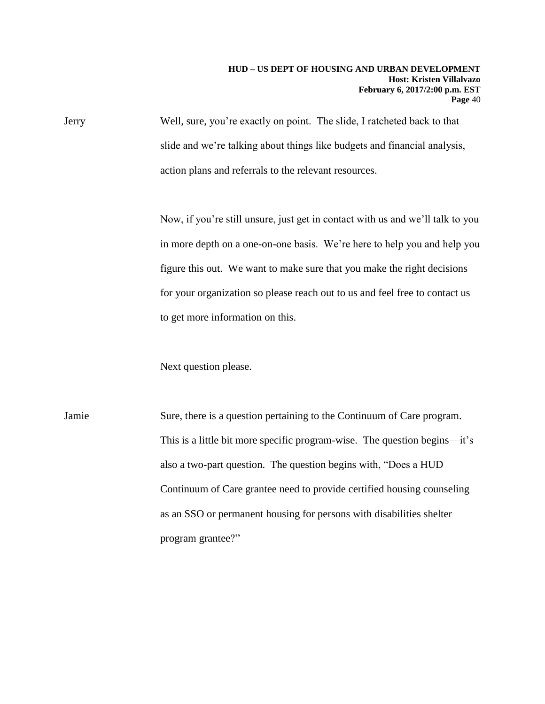Jerry Well, sure, you're exactly on point. The slide, I ratcheted back to that slide and we're talking about things like budgets and financial analysis, action plans and referrals to the relevant resources.

> Now, if you're still unsure, just get in contact with us and we'll talk to you in more depth on a one-on-one basis. We're here to help you and help you figure this out. We want to make sure that you make the right decisions for your organization so please reach out to us and feel free to contact us to get more information on this.

Next question please.

Jamie Sure, there is a question pertaining to the Continuum of Care program. This is a little bit more specific program-wise. The question begins—it's also a two-part question. The question begins with, "Does a HUD Continuum of Care grantee need to provide certified housing counseling as an SSO or permanent housing for persons with disabilities shelter program grantee?"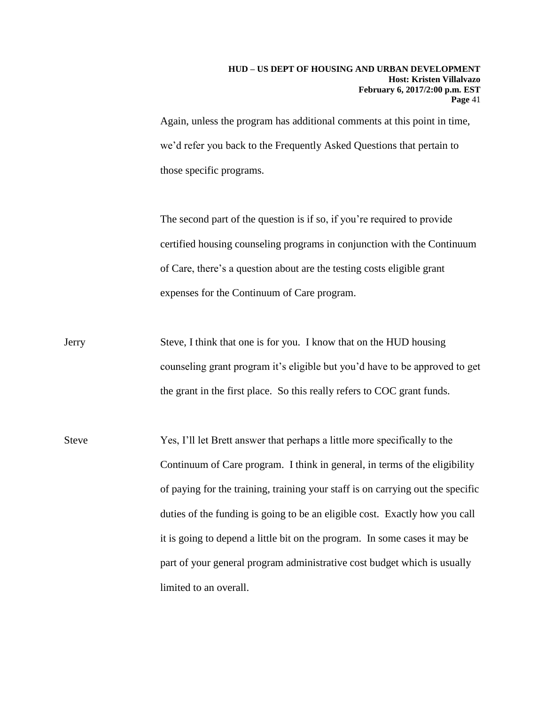Again, unless the program has additional comments at this point in time, we'd refer you back to the Frequently Asked Questions that pertain to those specific programs.

The second part of the question is if so, if you're required to provide certified housing counseling programs in conjunction with the Continuum of Care, there's a question about are the testing costs eligible grant expenses for the Continuum of Care program.

- Jerry Steve, I think that one is for you. I know that on the HUD housing counseling grant program it's eligible but you'd have to be approved to get the grant in the first place. So this really refers to COC grant funds.
- Steve Yes, I'll let Brett answer that perhaps a little more specifically to the Continuum of Care program. I think in general, in terms of the eligibility of paying for the training, training your staff is on carrying out the specific duties of the funding is going to be an eligible cost. Exactly how you call it is going to depend a little bit on the program. In some cases it may be part of your general program administrative cost budget which is usually limited to an overall.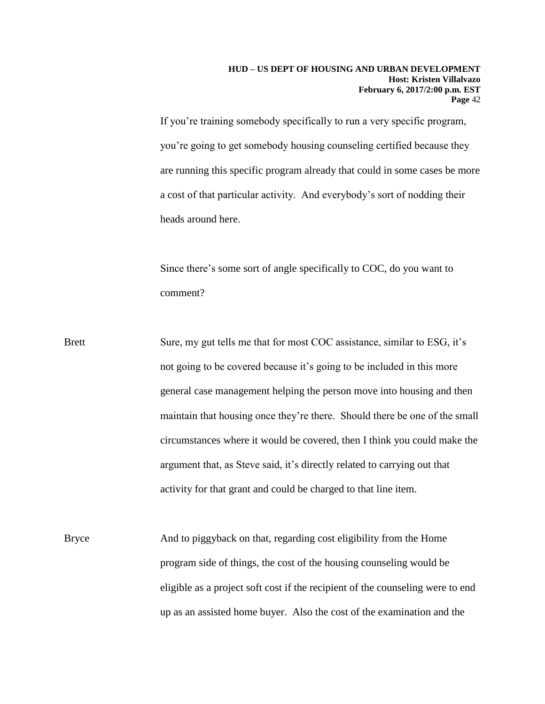If you're training somebody specifically to run a very specific program, you're going to get somebody housing counseling certified because they are running this specific program already that could in some cases be more a cost of that particular activity. And everybody's sort of nodding their heads around here.

Since there's some sort of angle specifically to COC, do you want to comment?

- Brett Sure, my gut tells me that for most COC assistance, similar to ESG, it's not going to be covered because it's going to be included in this more general case management helping the person move into housing and then maintain that housing once they're there. Should there be one of the small circumstances where it would be covered, then I think you could make the argument that, as Steve said, it's directly related to carrying out that activity for that grant and could be charged to that line item.
- Bryce And to piggyback on that, regarding cost eligibility from the Home program side of things, the cost of the housing counseling would be eligible as a project soft cost if the recipient of the counseling were to end up as an assisted home buyer. Also the cost of the examination and the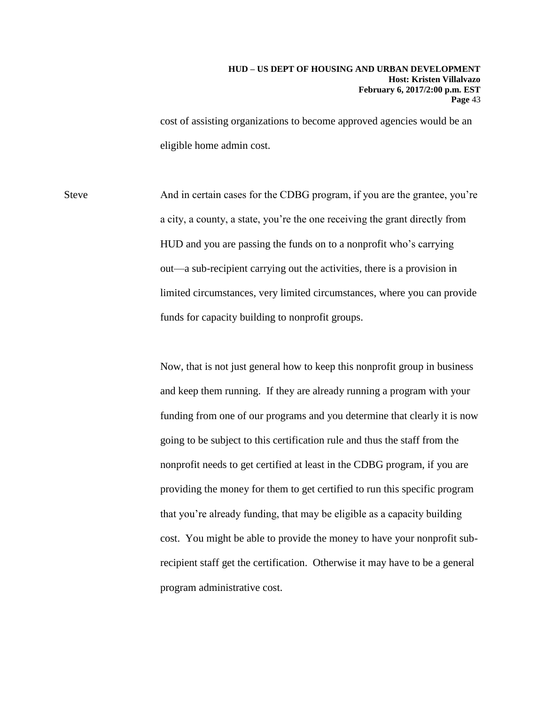cost of assisting organizations to become approved agencies would be an eligible home admin cost.

Steve And in certain cases for the CDBG program, if you are the grantee, you're a city, a county, a state, you're the one receiving the grant directly from HUD and you are passing the funds on to a nonprofit who's carrying out—a sub-recipient carrying out the activities, there is a provision in limited circumstances, very limited circumstances, where you can provide funds for capacity building to nonprofit groups.

> Now, that is not just general how to keep this nonprofit group in business and keep them running. If they are already running a program with your funding from one of our programs and you determine that clearly it is now going to be subject to this certification rule and thus the staff from the nonprofit needs to get certified at least in the CDBG program, if you are providing the money for them to get certified to run this specific program that you're already funding, that may be eligible as a capacity building cost. You might be able to provide the money to have your nonprofit subrecipient staff get the certification. Otherwise it may have to be a general program administrative cost.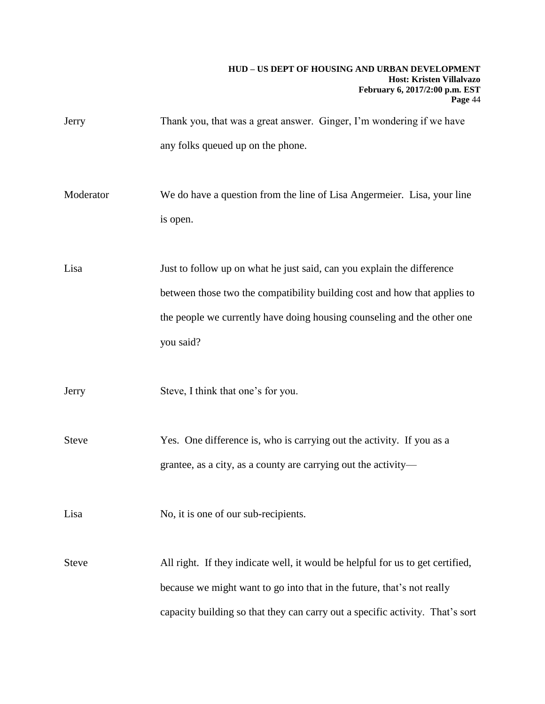- Jerry Thank you, that was a great answer. Ginger, I'm wondering if we have any folks queued up on the phone.
- Moderator We do have a question from the line of Lisa Angermeier. Lisa, your line is open.

Lisa Just to follow up on what he just said, can you explain the difference between those two the compatibility building cost and how that applies to the people we currently have doing housing counseling and the other one you said?

Jerry Steve, I think that one's for you.

Steve Yes. One difference is, who is carrying out the activity. If you as a grantee, as a city, as a county are carrying out the activity—

Lisa No, it is one of our sub-recipients.

Steve All right. If they indicate well, it would be helpful for us to get certified, because we might want to go into that in the future, that's not really capacity building so that they can carry out a specific activity. That's sort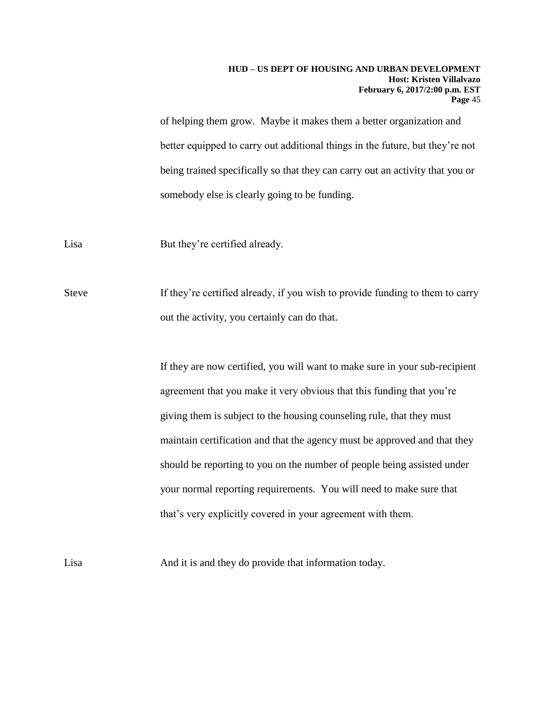of helping them grow. Maybe it makes them a better organization and better equipped to carry out additional things in the future, but they're not being trained specifically so that they can carry out an activity that you or somebody else is clearly going to be funding.

Lisa But they're certified already.

Steve If they're certified already, if you wish to provide funding to them to carry out the activity, you certainly can do that.

> If they are now certified, you will want to make sure in your sub-recipient agreement that you make it very obvious that this funding that you're giving them is subject to the housing counseling rule, that they must maintain certification and that the agency must be approved and that they should be reporting to you on the number of people being assisted under your normal reporting requirements. You will need to make sure that that's very explicitly covered in your agreement with them.

Lisa And it is and they do provide that information today.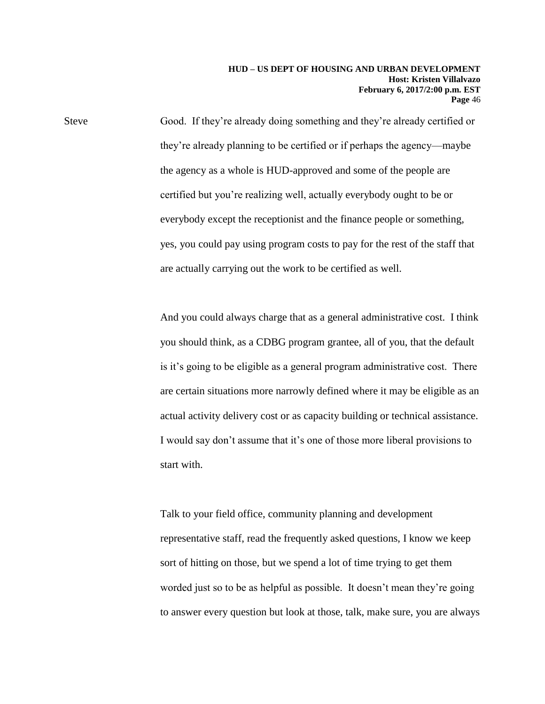Steve Good. If they're already doing something and they're already certified or they're already planning to be certified or if perhaps the agency—maybe the agency as a whole is HUD-approved and some of the people are certified but you're realizing well, actually everybody ought to be or everybody except the receptionist and the finance people or something, yes, you could pay using program costs to pay for the rest of the staff that are actually carrying out the work to be certified as well.

> And you could always charge that as a general administrative cost. I think you should think, as a CDBG program grantee, all of you, that the default is it's going to be eligible as a general program administrative cost. There are certain situations more narrowly defined where it may be eligible as an actual activity delivery cost or as capacity building or technical assistance. I would say don't assume that it's one of those more liberal provisions to start with.

> Talk to your field office, community planning and development representative staff, read the frequently asked questions, I know we keep sort of hitting on those, but we spend a lot of time trying to get them worded just so to be as helpful as possible. It doesn't mean they're going to answer every question but look at those, talk, make sure, you are always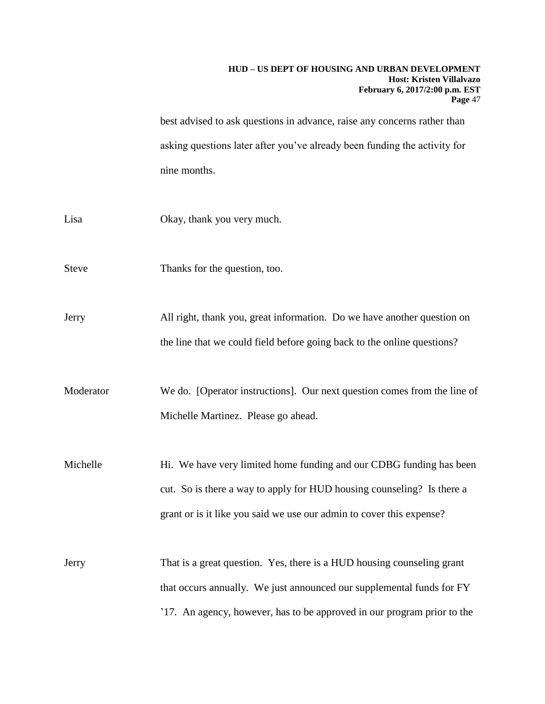best advised to ask questions in advance, raise any concerns rather than asking questions later after you've already been funding the activity for nine months.

- Lisa Okay, thank you very much.
- Steve Thanks for the question, too.

Jerry All right, thank you, great information. Do we have another question on the line that we could field before going back to the online questions?

Moderator We do. [Operator instructions]. Our next question comes from the line of Michelle Martinez. Please go ahead.

Michelle Hi. We have very limited home funding and our CDBG funding has been cut. So is there a way to apply for HUD housing counseling? Is there a grant or is it like you said we use our admin to cover this expense?

Jerry That is a great question. Yes, there is a HUD housing counseling grant that occurs annually. We just announced our supplemental funds for FY '17. An agency, however, has to be approved in our program prior to the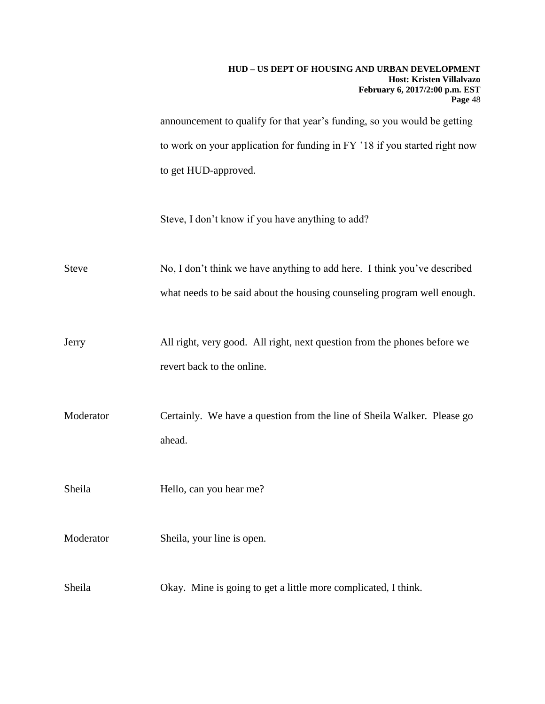announcement to qualify for that year's funding, so you would be getting to work on your application for funding in FY '18 if you started right now to get HUD-approved.

Steve, I don't know if you have anything to add?

Steve No, I don't think we have anything to add here. I think you've described what needs to be said about the housing counseling program well enough.

Jerry All right, very good. All right, next question from the phones before we revert back to the online.

Moderator Certainly. We have a question from the line of Sheila Walker. Please go ahead.

Sheila Hello, can you hear me?

Moderator Sheila, your line is open.

Sheila Okay. Mine is going to get a little more complicated, I think.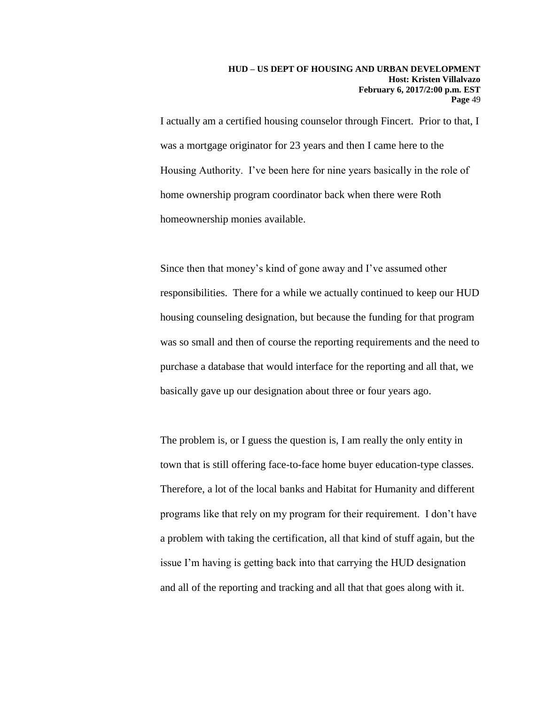I actually am a certified housing counselor through Fincert. Prior to that, I was a mortgage originator for 23 years and then I came here to the Housing Authority. I've been here for nine years basically in the role of home ownership program coordinator back when there were Roth homeownership monies available.

Since then that money's kind of gone away and I've assumed other responsibilities. There for a while we actually continued to keep our HUD housing counseling designation, but because the funding for that program was so small and then of course the reporting requirements and the need to purchase a database that would interface for the reporting and all that, we basically gave up our designation about three or four years ago.

The problem is, or I guess the question is, I am really the only entity in town that is still offering face-to-face home buyer education-type classes. Therefore, a lot of the local banks and Habitat for Humanity and different programs like that rely on my program for their requirement. I don't have a problem with taking the certification, all that kind of stuff again, but the issue I'm having is getting back into that carrying the HUD designation and all of the reporting and tracking and all that that goes along with it.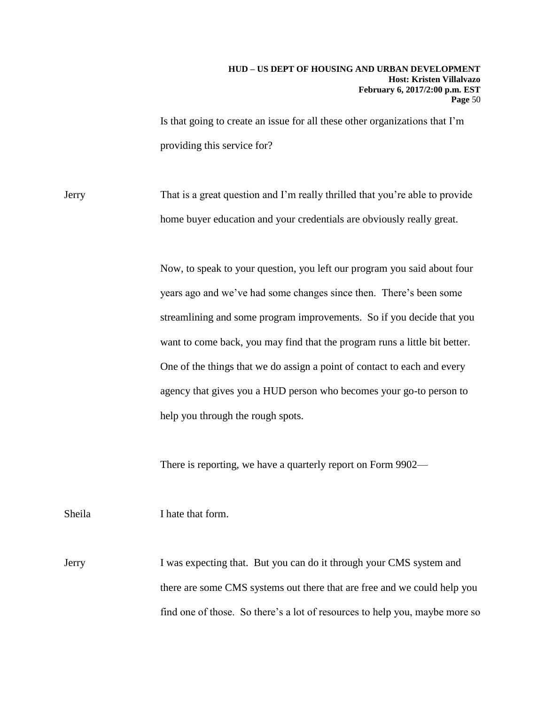Is that going to create an issue for all these other organizations that I'm providing this service for?

Jerry That is a great question and I'm really thrilled that you're able to provide home buyer education and your credentials are obviously really great.

> Now, to speak to your question, you left our program you said about four years ago and we've had some changes since then. There's been some streamlining and some program improvements. So if you decide that you want to come back, you may find that the program runs a little bit better. One of the things that we do assign a point of contact to each and every agency that gives you a HUD person who becomes your go-to person to help you through the rough spots.

There is reporting, we have a quarterly report on Form 9902—

Sheila I hate that form.

Jerry I was expecting that. But you can do it through your CMS system and there are some CMS systems out there that are free and we could help you find one of those. So there's a lot of resources to help you, maybe more so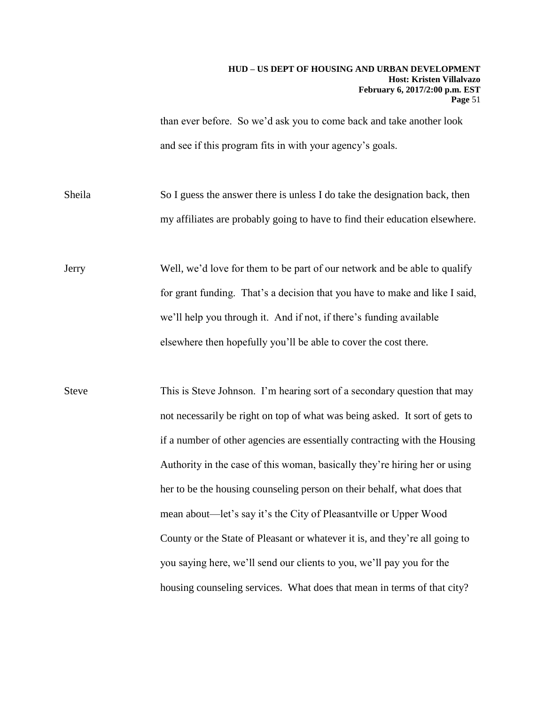than ever before. So we'd ask you to come back and take another look and see if this program fits in with your agency's goals.

Sheila So I guess the answer there is unless I do take the designation back, then my affiliates are probably going to have to find their education elsewhere.

Jerry Well, we'd love for them to be part of our network and be able to qualify for grant funding. That's a decision that you have to make and like I said, we'll help you through it. And if not, if there's funding available elsewhere then hopefully you'll be able to cover the cost there.

Steve This is Steve Johnson. I'm hearing sort of a secondary question that may not necessarily be right on top of what was being asked. It sort of gets to if a number of other agencies are essentially contracting with the Housing Authority in the case of this woman, basically they're hiring her or using her to be the housing counseling person on their behalf, what does that mean about—let's say it's the City of Pleasantville or Upper Wood County or the State of Pleasant or whatever it is, and they're all going to you saying here, we'll send our clients to you, we'll pay you for the housing counseling services. What does that mean in terms of that city?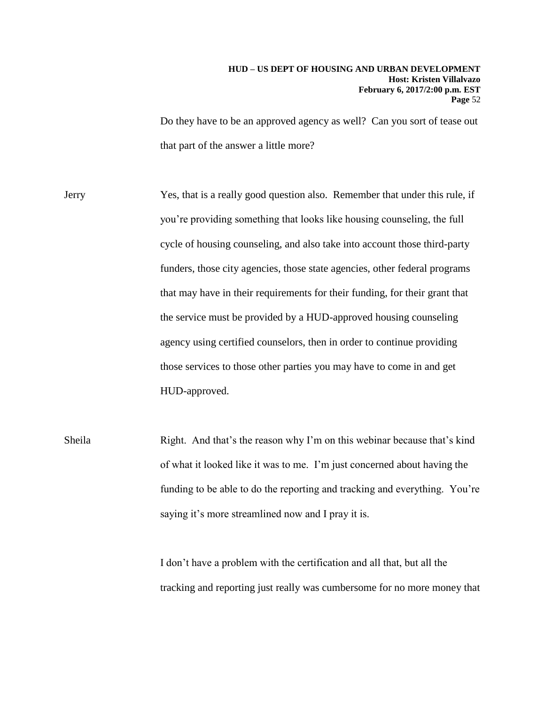Do they have to be an approved agency as well? Can you sort of tease out that part of the answer a little more?

Jerry Yes, that is a really good question also. Remember that under this rule, if you're providing something that looks like housing counseling, the full cycle of housing counseling, and also take into account those third-party funders, those city agencies, those state agencies, other federal programs that may have in their requirements for their funding, for their grant that the service must be provided by a HUD-approved housing counseling agency using certified counselors, then in order to continue providing those services to those other parties you may have to come in and get HUD-approved.

Sheila Right. And that's the reason why I'm on this webinar because that's kind of what it looked like it was to me. I'm just concerned about having the funding to be able to do the reporting and tracking and everything. You're saying it's more streamlined now and I pray it is.

> I don't have a problem with the certification and all that, but all the tracking and reporting just really was cumbersome for no more money that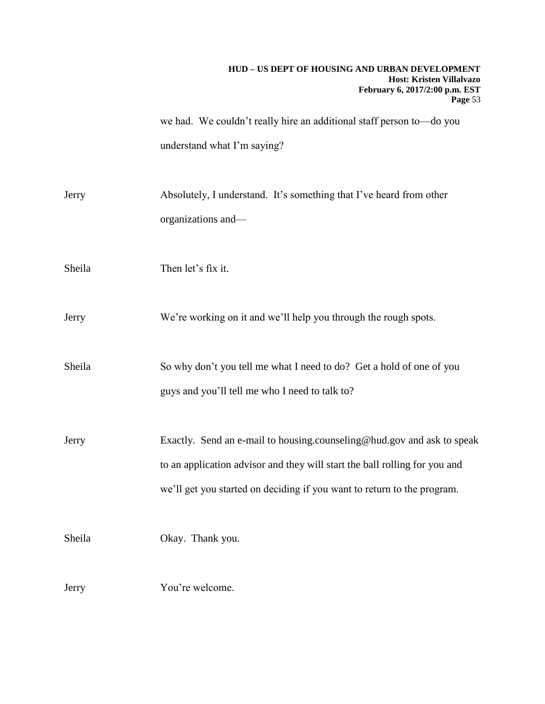we had. We couldn't really hire an additional staff person to—do you understand what I'm saying?

Jerry Absolutely, I understand. It's something that I've heard from other organizations and—

Sheila Then let's fix it.

Jerry We're working on it and we'll help you through the rough spots.

Sheila So why don't you tell me what I need to do? Get a hold of one of you guys and you'll tell me who I need to talk to?

Jerry Exactly. Send an e-mail to housing.counseling@hud.gov and ask to speak to an application advisor and they will start the ball rolling for you and we'll get you started on deciding if you want to return to the program.

Sheila Okay. Thank you.

Jerry You're welcome.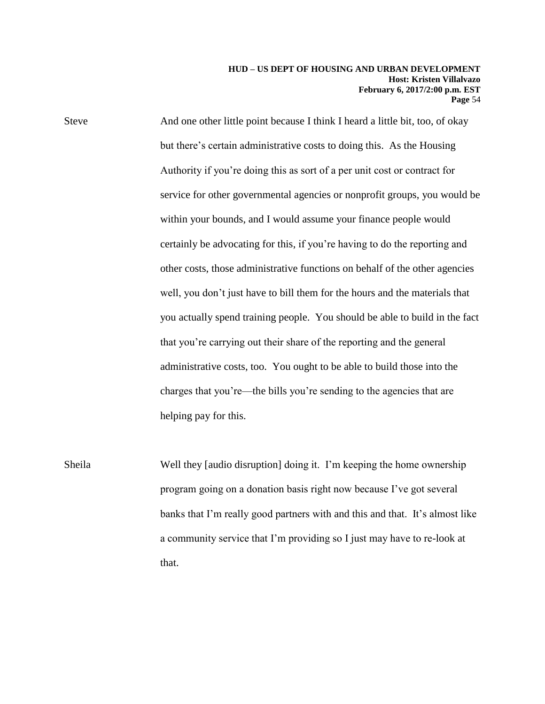Steve And one other little point because I think I heard a little bit, too, of okay but there's certain administrative costs to doing this. As the Housing Authority if you're doing this as sort of a per unit cost or contract for service for other governmental agencies or nonprofit groups, you would be within your bounds, and I would assume your finance people would certainly be advocating for this, if you're having to do the reporting and other costs, those administrative functions on behalf of the other agencies well, you don't just have to bill them for the hours and the materials that you actually spend training people. You should be able to build in the fact that you're carrying out their share of the reporting and the general administrative costs, too. You ought to be able to build those into the charges that you're—the bills you're sending to the agencies that are helping pay for this.

Sheila Well they [audio disruption] doing it. I'm keeping the home ownership program going on a donation basis right now because I've got several banks that I'm really good partners with and this and that. It's almost like a community service that I'm providing so I just may have to re-look at that.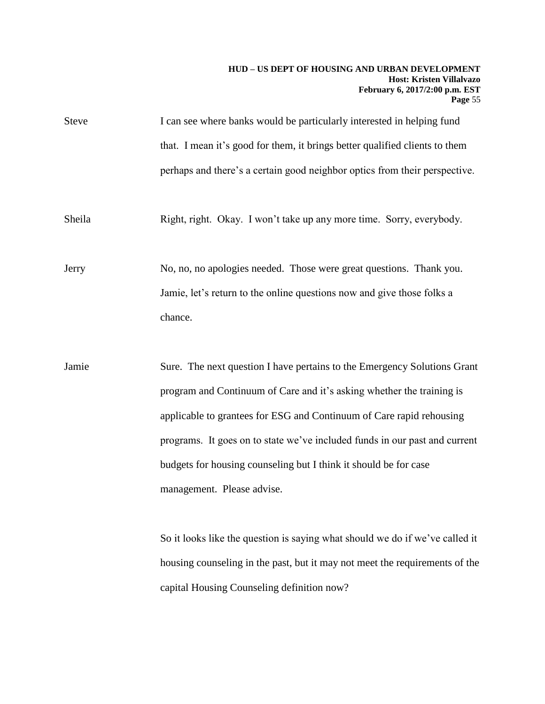| <b>Steve</b> | I can see where banks would be particularly interested in helping fund      |
|--------------|-----------------------------------------------------------------------------|
|              | that. I mean it's good for them, it brings better qualified clients to them |
|              | perhaps and there's a certain good neighbor optics from their perspective.  |
| Sheila       | Right, right. Okay. I won't take up any more time. Sorry, everybody.        |
| Jerry        | No, no, no apologies needed. Those were great questions. Thank you.         |
|              | Jamie, let's return to the online questions now and give those folks a      |

chance.

Jamie Sure. The next question I have pertains to the Emergency Solutions Grant program and Continuum of Care and it's asking whether the training is applicable to grantees for ESG and Continuum of Care rapid rehousing programs. It goes on to state we've included funds in our past and current budgets for housing counseling but I think it should be for case management. Please advise.

> So it looks like the question is saying what should we do if we've called it housing counseling in the past, but it may not meet the requirements of the capital Housing Counseling definition now?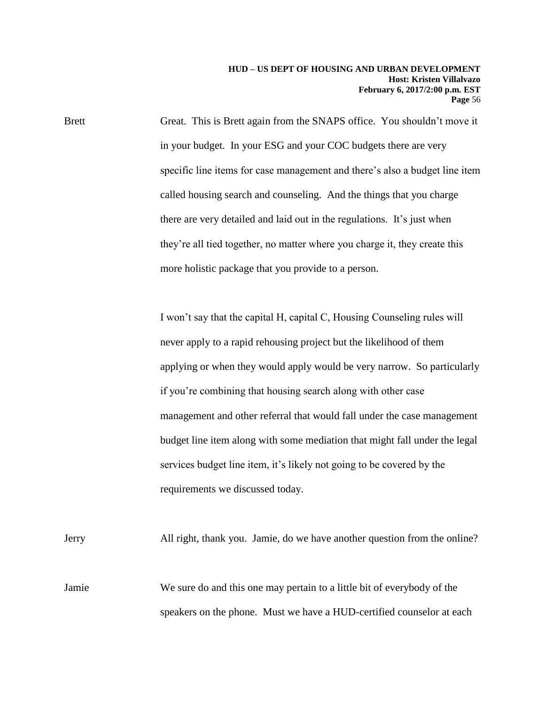Brett Great. This is Brett again from the SNAPS office. You shouldn't move it in your budget. In your ESG and your COC budgets there are very specific line items for case management and there's also a budget line item called housing search and counseling. And the things that you charge there are very detailed and laid out in the regulations. It's just when they're all tied together, no matter where you charge it, they create this more holistic package that you provide to a person.

> I won't say that the capital H, capital C, Housing Counseling rules will never apply to a rapid rehousing project but the likelihood of them applying or when they would apply would be very narrow. So particularly if you're combining that housing search along with other case management and other referral that would fall under the case management budget line item along with some mediation that might fall under the legal services budget line item, it's likely not going to be covered by the requirements we discussed today.

Jerry All right, thank you. Jamie, do we have another question from the online? Jamie We sure do and this one may pertain to a little bit of everybody of the speakers on the phone. Must we have a HUD-certified counselor at each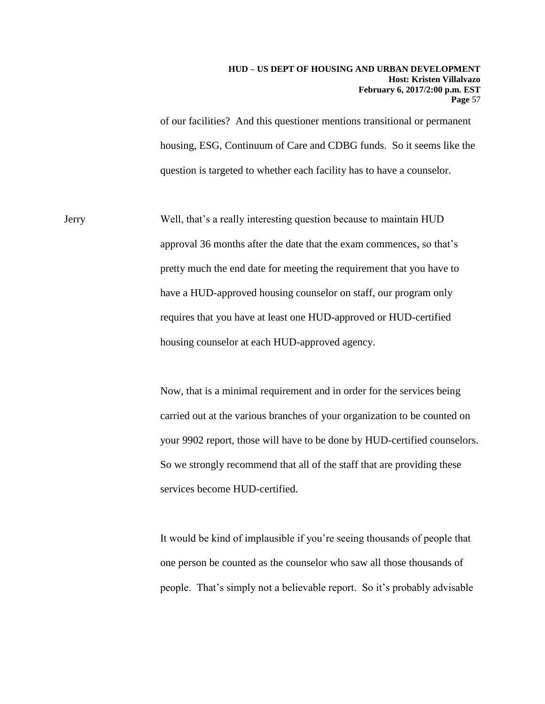of our facilities? And this questioner mentions transitional or permanent housing, ESG, Continuum of Care and CDBG funds. So it seems like the question is targeted to whether each facility has to have a counselor.

Jerry Well, that's a really interesting question because to maintain HUD approval 36 months after the date that the exam commences, so that's pretty much the end date for meeting the requirement that you have to have a HUD-approved housing counselor on staff, our program only requires that you have at least one HUD-approved or HUD-certified housing counselor at each HUD-approved agency.

> Now, that is a minimal requirement and in order for the services being carried out at the various branches of your organization to be counted on your 9902 report, those will have to be done by HUD-certified counselors. So we strongly recommend that all of the staff that are providing these services become HUD-certified.

It would be kind of implausible if you're seeing thousands of people that one person be counted as the counselor who saw all those thousands of people. That's simply not a believable report. So it's probably advisable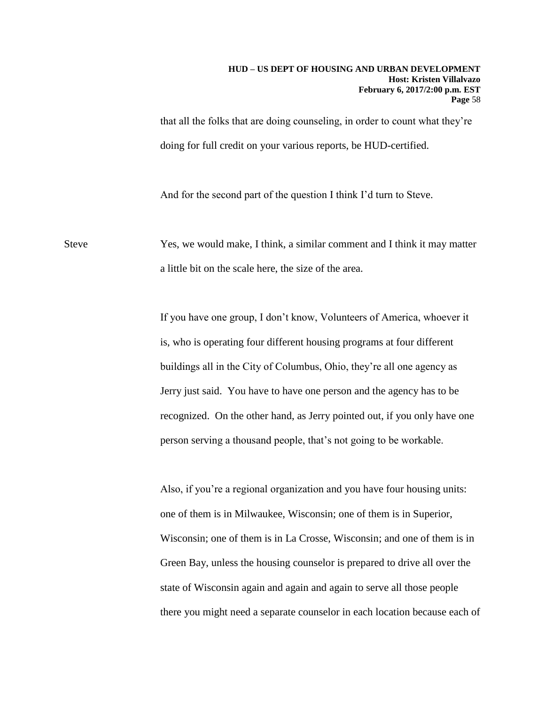that all the folks that are doing counseling, in order to count what they're doing for full credit on your various reports, be HUD-certified.

And for the second part of the question I think I'd turn to Steve.

Steve Yes, we would make, I think, a similar comment and I think it may matter a little bit on the scale here, the size of the area.

> If you have one group, I don't know, Volunteers of America, whoever it is, who is operating four different housing programs at four different buildings all in the City of Columbus, Ohio, they're all one agency as Jerry just said. You have to have one person and the agency has to be recognized. On the other hand, as Jerry pointed out, if you only have one person serving a thousand people, that's not going to be workable.

Also, if you're a regional organization and you have four housing units: one of them is in Milwaukee, Wisconsin; one of them is in Superior, Wisconsin; one of them is in La Crosse, Wisconsin; and one of them is in Green Bay, unless the housing counselor is prepared to drive all over the state of Wisconsin again and again and again to serve all those people there you might need a separate counselor in each location because each of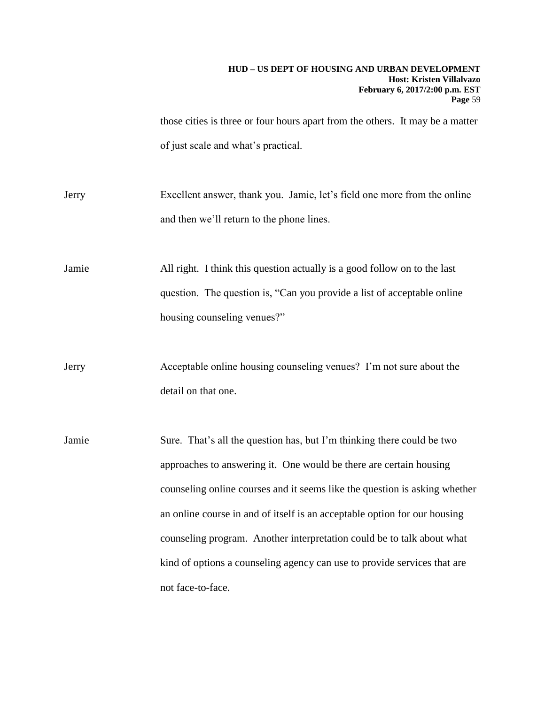those cities is three or four hours apart from the others. It may be a matter of just scale and what's practical.

Jerry Excellent answer, thank you. Jamie, let's field one more from the online and then we'll return to the phone lines.

Jamie All right. I think this question actually is a good follow on to the last question. The question is, "Can you provide a list of acceptable online housing counseling venues?"

Jerry Acceptable online housing counseling venues? I'm not sure about the detail on that one.

Jamie Sure. That's all the question has, but I'm thinking there could be two approaches to answering it. One would be there are certain housing counseling online courses and it seems like the question is asking whether an online course in and of itself is an acceptable option for our housing counseling program. Another interpretation could be to talk about what kind of options a counseling agency can use to provide services that are not face-to-face.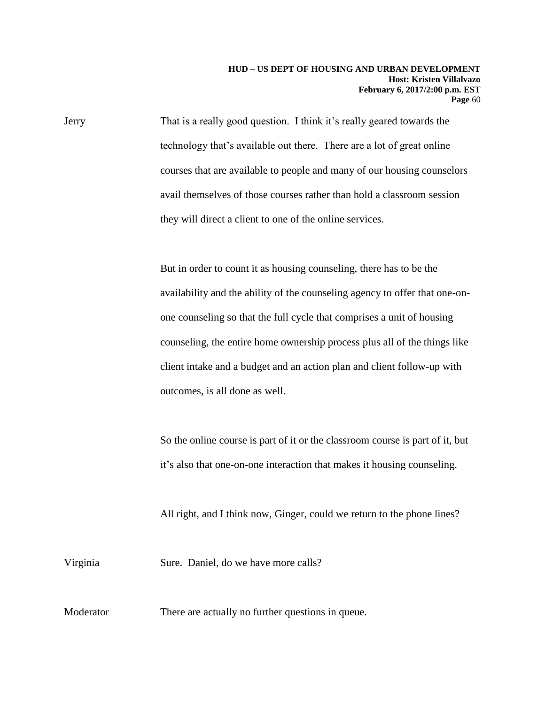Jerry That is a really good question. I think it's really geared towards the technology that's available out there. There are a lot of great online courses that are available to people and many of our housing counselors avail themselves of those courses rather than hold a classroom session they will direct a client to one of the online services.

> But in order to count it as housing counseling, there has to be the availability and the ability of the counseling agency to offer that one-onone counseling so that the full cycle that comprises a unit of housing counseling, the entire home ownership process plus all of the things like client intake and a budget and an action plan and client follow-up with outcomes, is all done as well.

> So the online course is part of it or the classroom course is part of it, but it's also that one-on-one interaction that makes it housing counseling.

All right, and I think now, Ginger, could we return to the phone lines?

Virginia Sure. Daniel, do we have more calls?

Moderator There are actually no further questions in queue.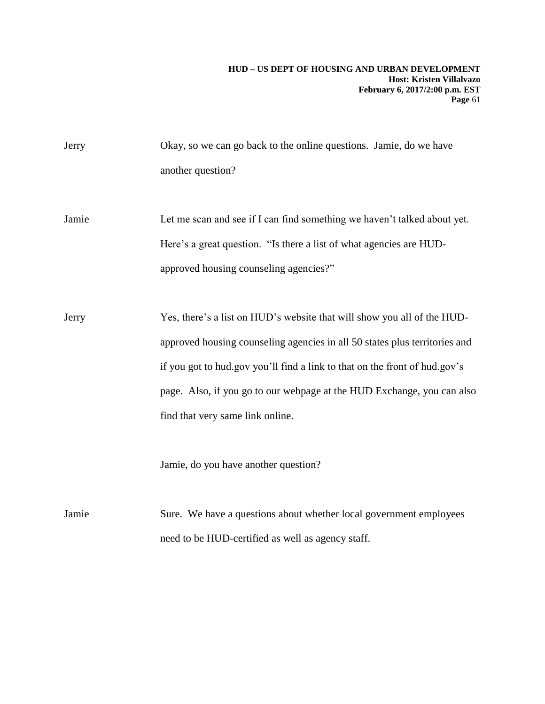| Jerry | Okay, so we can go back to the online questions. Jamie, do we have         |
|-------|----------------------------------------------------------------------------|
|       | another question?                                                          |
|       |                                                                            |
| Jamie | Let me scan and see if I can find something we haven't talked about yet.   |
|       | Here's a great question. "Is there a list of what agencies are HUD-        |
|       | approved housing counseling agencies?"                                     |
|       |                                                                            |
| Jerry | Yes, there's a list on HUD's website that will show you all of the HUD-    |
|       | approved housing counseling agencies in all 50 states plus territories and |
|       | if you got to hud.gov you'll find a link to that on the front of hud.gov's |
|       | page. Also, if you go to our webpage at the HUD Exchange, you can also     |
|       | find that very same link online.                                           |
|       |                                                                            |
|       | Jamie, do you have another question?                                       |
|       |                                                                            |
| Jamie | Sure. We have a questions about whether local government employees         |
|       | need to be HUD-certified as well as agency staff.                          |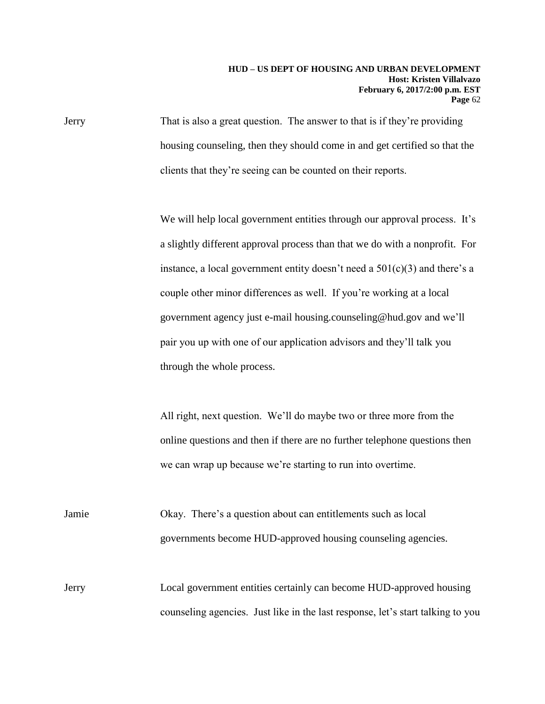Jerry That is also a great question. The answer to that is if they're providing housing counseling, then they should come in and get certified so that the clients that they're seeing can be counted on their reports.

> We will help local government entities through our approval process. It's a slightly different approval process than that we do with a nonprofit. For instance, a local government entity doesn't need a  $501(c)(3)$  and there's a couple other minor differences as well. If you're working at a local government agency just e-mail housing.counseling@hud.gov and we'll pair you up with one of our application advisors and they'll talk you through the whole process.

All right, next question. We'll do maybe two or three more from the online questions and then if there are no further telephone questions then we can wrap up because we're starting to run into overtime.

Jamie Okay. There's a question about can entitlements such as local governments become HUD-approved housing counseling agencies.

Jerry Local government entities certainly can become HUD-approved housing counseling agencies. Just like in the last response, let's start talking to you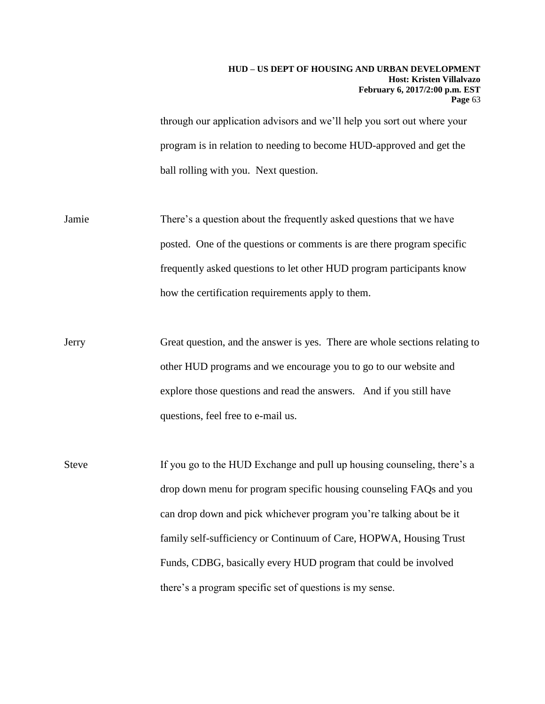through our application advisors and we'll help you sort out where your program is in relation to needing to become HUD-approved and get the ball rolling with you. Next question.

- Jamie There's a question about the frequently asked questions that we have posted. One of the questions or comments is are there program specific frequently asked questions to let other HUD program participants know how the certification requirements apply to them.
- Jerry Great question, and the answer is yes. There are whole sections relating to other HUD programs and we encourage you to go to our website and explore those questions and read the answers. And if you still have questions, feel free to e-mail us.
- Steve If you go to the HUD Exchange and pull up housing counseling, there's a drop down menu for program specific housing counseling FAQs and you can drop down and pick whichever program you're talking about be it family self-sufficiency or Continuum of Care, HOPWA, Housing Trust Funds, CDBG, basically every HUD program that could be involved there's a program specific set of questions is my sense.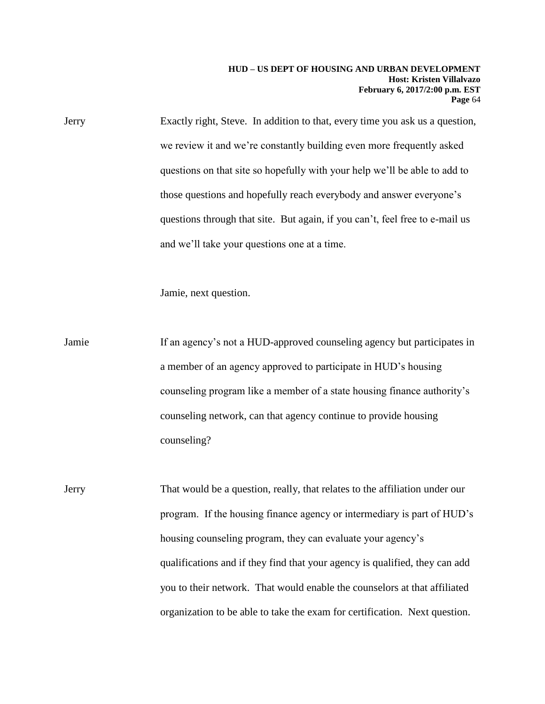Jerry Exactly right, Steve. In addition to that, every time you ask us a question, we review it and we're constantly building even more frequently asked questions on that site so hopefully with your help we'll be able to add to those questions and hopefully reach everybody and answer everyone's questions through that site. But again, if you can't, feel free to e-mail us and we'll take your questions one at a time.

Jamie, next question.

Jamie If an agency's not a HUD-approved counseling agency but participates in a member of an agency approved to participate in HUD's housing counseling program like a member of a state housing finance authority's counseling network, can that agency continue to provide housing counseling?

Jerry That would be a question, really, that relates to the affiliation under our program. If the housing finance agency or intermediary is part of HUD's housing counseling program, they can evaluate your agency's qualifications and if they find that your agency is qualified, they can add you to their network. That would enable the counselors at that affiliated organization to be able to take the exam for certification. Next question.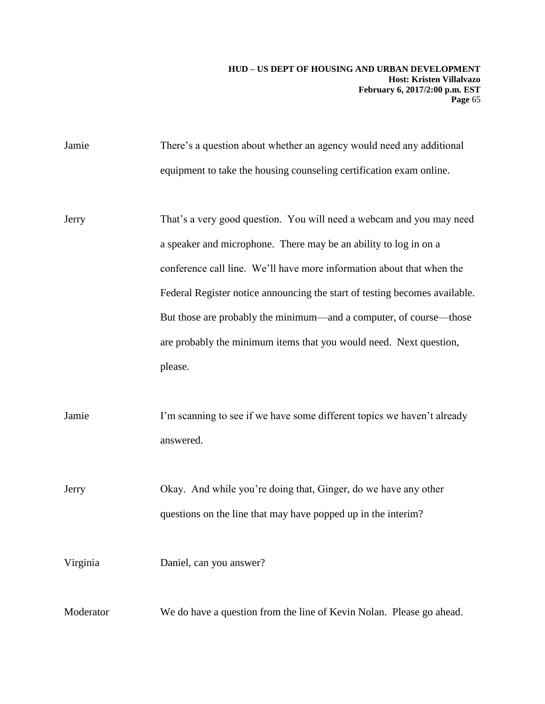Jamie There's a question about whether an agency would need any additional equipment to take the housing counseling certification exam online.

Jerry That's a very good question. You will need a webcam and you may need a speaker and microphone. There may be an ability to log in on a conference call line. We'll have more information about that when the Federal Register notice announcing the start of testing becomes available. But those are probably the minimum—and a computer, of course—those are probably the minimum items that you would need. Next question, please.

Jamie I'm scanning to see if we have some different topics we haven't already answered.

Jerry Okay. And while you're doing that, Ginger, do we have any other questions on the line that may have popped up in the interim?

Virginia Daniel, can you answer?

Moderator We do have a question from the line of Kevin Nolan. Please go ahead.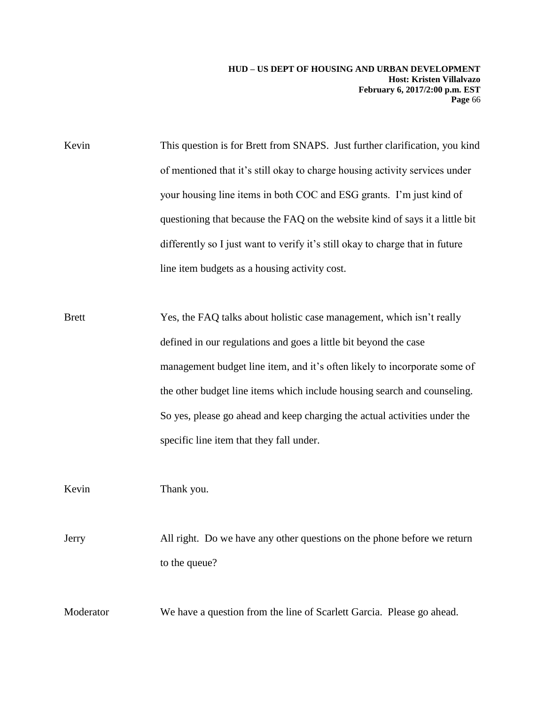Kevin This question is for Brett from SNAPS. Just further clarification, you kind of mentioned that it's still okay to charge housing activity services under your housing line items in both COC and ESG grants. I'm just kind of questioning that because the FAQ on the website kind of says it a little bit differently so I just want to verify it's still okay to charge that in future line item budgets as a housing activity cost.

Brett Yes, the FAQ talks about holistic case management, which isn't really defined in our regulations and goes a little bit beyond the case management budget line item, and it's often likely to incorporate some of the other budget line items which include housing search and counseling. So yes, please go ahead and keep charging the actual activities under the specific line item that they fall under.

Kevin Thank you.

Jerry All right. Do we have any other questions on the phone before we return to the queue?

Moderator We have a question from the line of Scarlett Garcia. Please go ahead.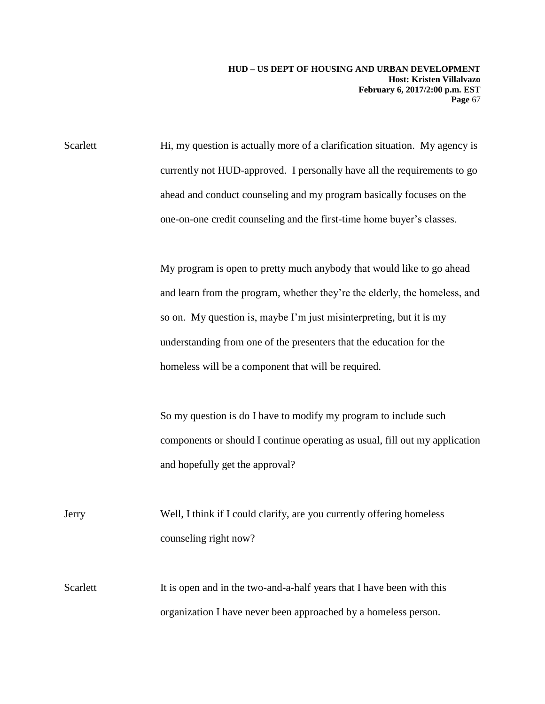Scarlett Hi, my question is actually more of a clarification situation. My agency is currently not HUD-approved. I personally have all the requirements to go ahead and conduct counseling and my program basically focuses on the one-on-one credit counseling and the first-time home buyer's classes.

> My program is open to pretty much anybody that would like to go ahead and learn from the program, whether they're the elderly, the homeless, and so on. My question is, maybe I'm just misinterpreting, but it is my understanding from one of the presenters that the education for the homeless will be a component that will be required.

> So my question is do I have to modify my program to include such components or should I continue operating as usual, fill out my application and hopefully get the approval?

Jerry Well, I think if I could clarify, are you currently offering homeless counseling right now?

Scarlett It is open and in the two-and-a-half years that I have been with this organization I have never been approached by a homeless person.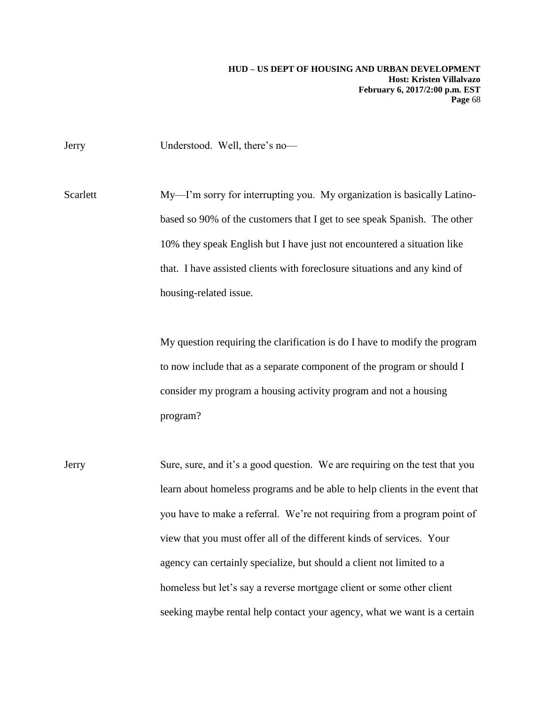Jerry Understood. Well, there's no—

Scarlett My—I'm sorry for interrupting you. My organization is basically Latinobased so 90% of the customers that I get to see speak Spanish. The other 10% they speak English but I have just not encountered a situation like that. I have assisted clients with foreclosure situations and any kind of housing-related issue.

> My question requiring the clarification is do I have to modify the program to now include that as a separate component of the program or should I consider my program a housing activity program and not a housing program?

Jerry Sure, sure, and it's a good question. We are requiring on the test that you learn about homeless programs and be able to help clients in the event that you have to make a referral. We're not requiring from a program point of view that you must offer all of the different kinds of services. Your agency can certainly specialize, but should a client not limited to a homeless but let's say a reverse mortgage client or some other client seeking maybe rental help contact your agency, what we want is a certain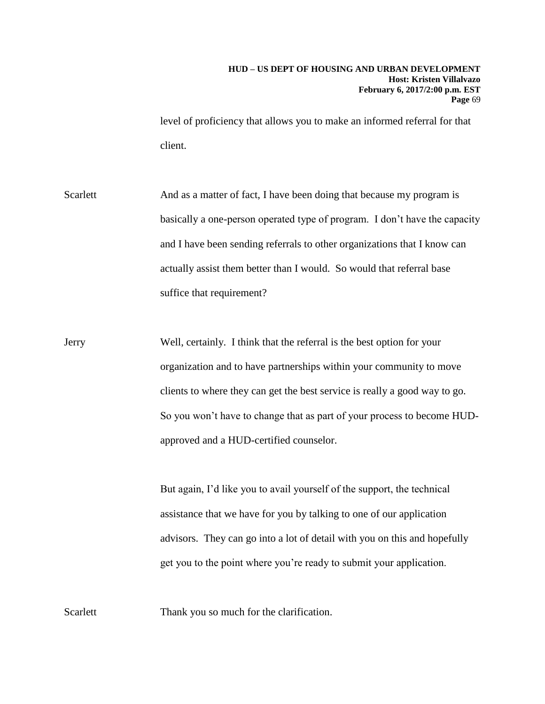level of proficiency that allows you to make an informed referral for that client.

Scarlett And as a matter of fact, I have been doing that because my program is basically a one-person operated type of program. I don't have the capacity and I have been sending referrals to other organizations that I know can actually assist them better than I would. So would that referral base suffice that requirement?

Jerry Well, certainly. I think that the referral is the best option for your organization and to have partnerships within your community to move clients to where they can get the best service is really a good way to go. So you won't have to change that as part of your process to become HUDapproved and a HUD-certified counselor.

> But again, I'd like you to avail yourself of the support, the technical assistance that we have for you by talking to one of our application advisors. They can go into a lot of detail with you on this and hopefully get you to the point where you're ready to submit your application.

Scarlett Thank you so much for the clarification.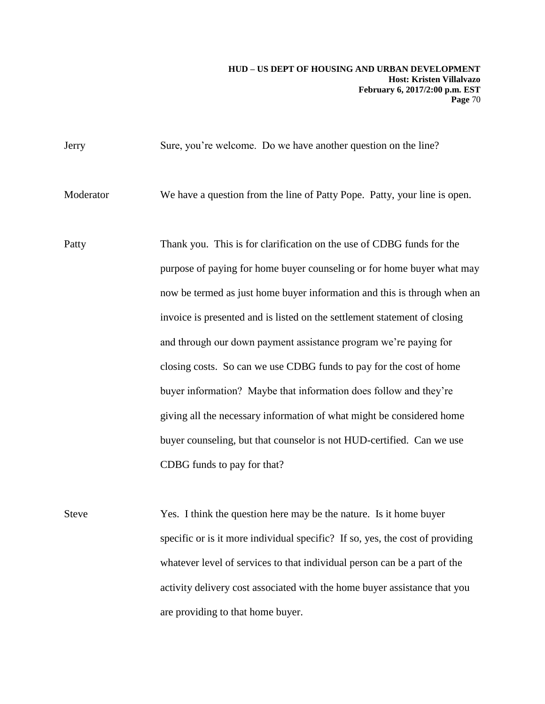| Jerry        | Sure, you're welcome. Do we have another question on the line?                                                                                  |
|--------------|-------------------------------------------------------------------------------------------------------------------------------------------------|
| Moderator    | We have a question from the line of Patty Pope. Patty, your line is open.                                                                       |
| Patty        | Thank you. This is for clarification on the use of CDBG funds for the<br>purpose of paying for home buyer counseling or for home buyer what may |
|              | now be termed as just home buyer information and this is through when an                                                                        |
|              | invoice is presented and is listed on the settlement statement of closing                                                                       |
|              | and through our down payment assistance program we're paying for                                                                                |
|              | closing costs. So can we use CDBG funds to pay for the cost of home                                                                             |
|              | buyer information? Maybe that information does follow and they're                                                                               |
|              | giving all the necessary information of what might be considered home                                                                           |
|              | buyer counseling, but that counselor is not HUD-certified. Can we use                                                                           |
|              | CDBG funds to pay for that?                                                                                                                     |
|              |                                                                                                                                                 |
| <b>Steve</b> | Yes. I think the question here may be the nature. Is it home buyer                                                                              |
|              | specific or is it more individual specific? If so, yes, the cost of providing                                                                   |
|              | whatever level of services to that individual person can be a part of the                                                                       |
|              | activity delivery cost associated with the home buyer assistance that you                                                                       |

are providing to that home buyer.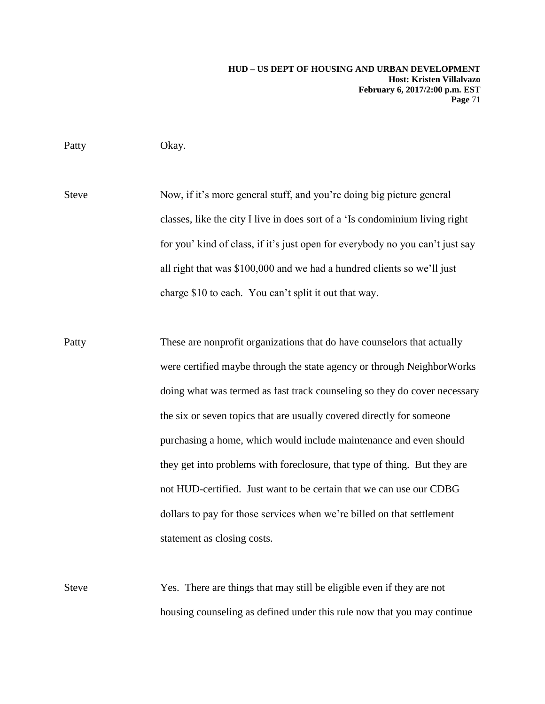Patty Okay.

Steve Now, if it's more general stuff, and you're doing big picture general classes, like the city I live in does sort of a 'Is condominium living right for you' kind of class, if it's just open for everybody no you can't just say all right that was \$100,000 and we had a hundred clients so we'll just charge \$10 to each. You can't split it out that way.

- Patty These are nonprofit organizations that do have counselors that actually were certified maybe through the state agency or through NeighborWorks doing what was termed as fast track counseling so they do cover necessary the six or seven topics that are usually covered directly for someone purchasing a home, which would include maintenance and even should they get into problems with foreclosure, that type of thing. But they are not HUD-certified. Just want to be certain that we can use our CDBG dollars to pay for those services when we're billed on that settlement statement as closing costs.
- Steve Yes. There are things that may still be eligible even if they are not housing counseling as defined under this rule now that you may continue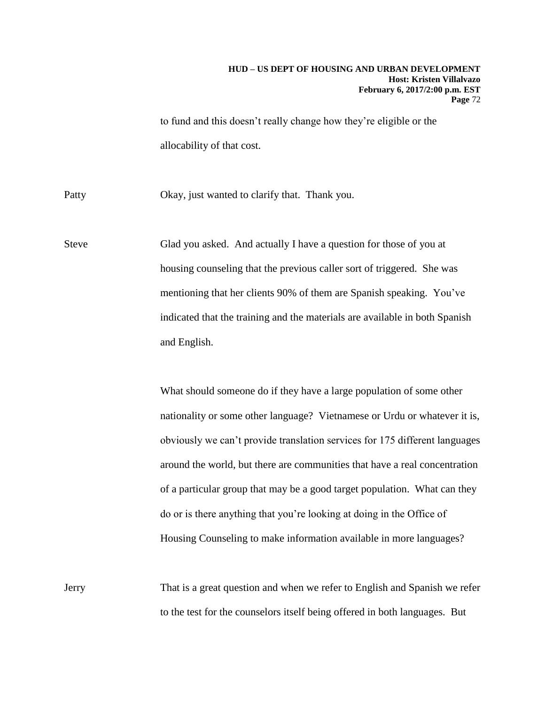to fund and this doesn't really change how they're eligible or the allocability of that cost.

Patty Okay, just wanted to clarify that. Thank you.

Steve Glad you asked. And actually I have a question for those of you at housing counseling that the previous caller sort of triggered. She was mentioning that her clients 90% of them are Spanish speaking. You've indicated that the training and the materials are available in both Spanish and English.

> What should someone do if they have a large population of some other nationality or some other language? Vietnamese or Urdu or whatever it is, obviously we can't provide translation services for 175 different languages around the world, but there are communities that have a real concentration of a particular group that may be a good target population. What can they do or is there anything that you're looking at doing in the Office of Housing Counseling to make information available in more languages?

Jerry That is a great question and when we refer to English and Spanish we refer to the test for the counselors itself being offered in both languages. But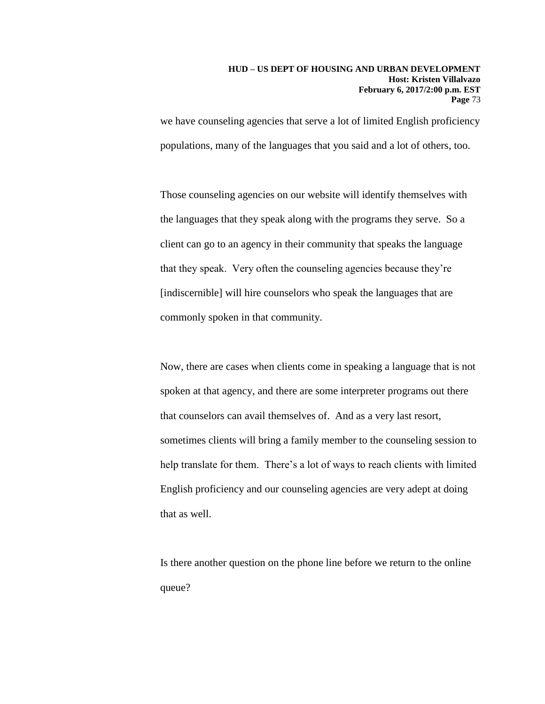we have counseling agencies that serve a lot of limited English proficiency populations, many of the languages that you said and a lot of others, too.

Those counseling agencies on our website will identify themselves with the languages that they speak along with the programs they serve. So a client can go to an agency in their community that speaks the language that they speak. Very often the counseling agencies because they're [indiscernible] will hire counselors who speak the languages that are commonly spoken in that community.

Now, there are cases when clients come in speaking a language that is not spoken at that agency, and there are some interpreter programs out there that counselors can avail themselves of. And as a very last resort, sometimes clients will bring a family member to the counseling session to help translate for them. There's a lot of ways to reach clients with limited English proficiency and our counseling agencies are very adept at doing that as well.

Is there another question on the phone line before we return to the online queue?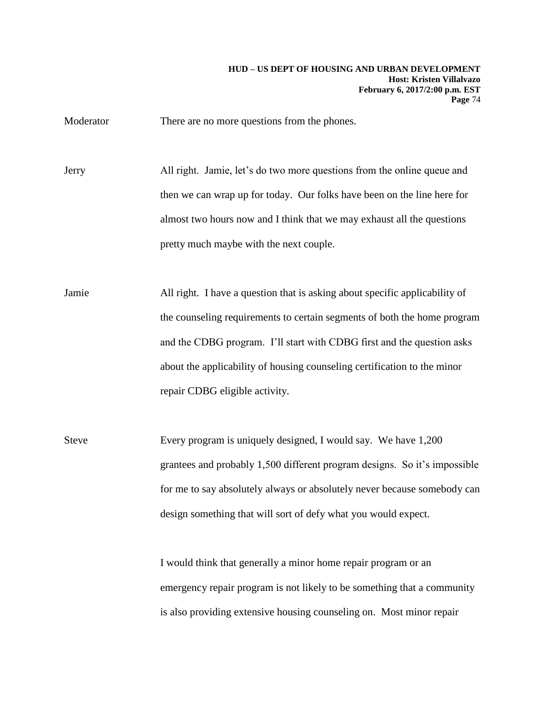Moderator There are no more questions from the phones.

Jerry All right. Jamie, let's do two more questions from the online queue and then we can wrap up for today. Our folks have been on the line here for almost two hours now and I think that we may exhaust all the questions pretty much maybe with the next couple.

Jamie All right. I have a question that is asking about specific applicability of the counseling requirements to certain segments of both the home program and the CDBG program. I'll start with CDBG first and the question asks about the applicability of housing counseling certification to the minor repair CDBG eligible activity.

Steve Every program is uniquely designed, I would say. We have 1,200 grantees and probably 1,500 different program designs. So it's impossible for me to say absolutely always or absolutely never because somebody can design something that will sort of defy what you would expect.

> I would think that generally a minor home repair program or an emergency repair program is not likely to be something that a community is also providing extensive housing counseling on. Most minor repair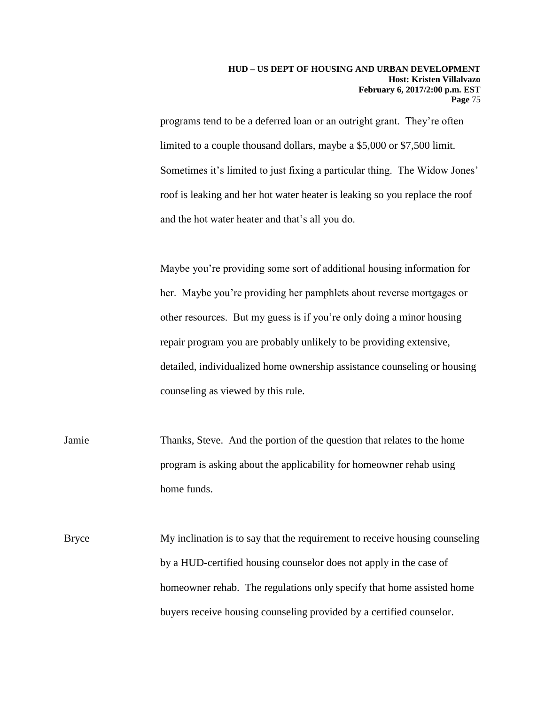programs tend to be a deferred loan or an outright grant. They're often limited to a couple thousand dollars, maybe a \$5,000 or \$7,500 limit. Sometimes it's limited to just fixing a particular thing. The Widow Jones' roof is leaking and her hot water heater is leaking so you replace the roof and the hot water heater and that's all you do.

Maybe you're providing some sort of additional housing information for her. Maybe you're providing her pamphlets about reverse mortgages or other resources. But my guess is if you're only doing a minor housing repair program you are probably unlikely to be providing extensive, detailed, individualized home ownership assistance counseling or housing counseling as viewed by this rule.

Jamie Thanks, Steve. And the portion of the question that relates to the home program is asking about the applicability for homeowner rehab using home funds.

Bryce My inclination is to say that the requirement to receive housing counseling by a HUD-certified housing counselor does not apply in the case of homeowner rehab. The regulations only specify that home assisted home buyers receive housing counseling provided by a certified counselor.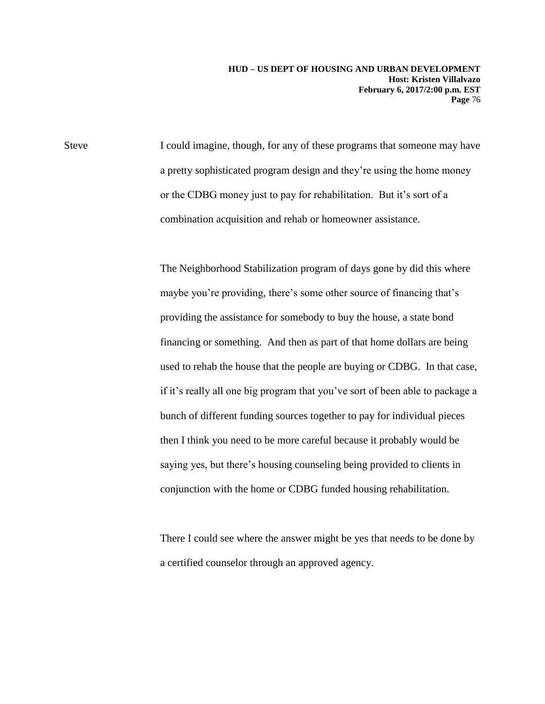**HUD – US DEPT OF HOUSING AND URBAN DEVELOPMENT Host: Kristen Villalvazo February 6, 2017/2:00 p.m. EST Page** 76

Steve I could imagine, though, for any of these programs that someone may have a pretty sophisticated program design and they're using the home money or the CDBG money just to pay for rehabilitation. But it's sort of a combination acquisition and rehab or homeowner assistance.

> The Neighborhood Stabilization program of days gone by did this where maybe you're providing, there's some other source of financing that's providing the assistance for somebody to buy the house, a state bond financing or something. And then as part of that home dollars are being used to rehab the house that the people are buying or CDBG. In that case, if it's really all one big program that you've sort of been able to package a bunch of different funding sources together to pay for individual pieces then I think you need to be more careful because it probably would be saying yes, but there's housing counseling being provided to clients in conjunction with the home or CDBG funded housing rehabilitation.

> There I could see where the answer might be yes that needs to be done by a certified counselor through an approved agency.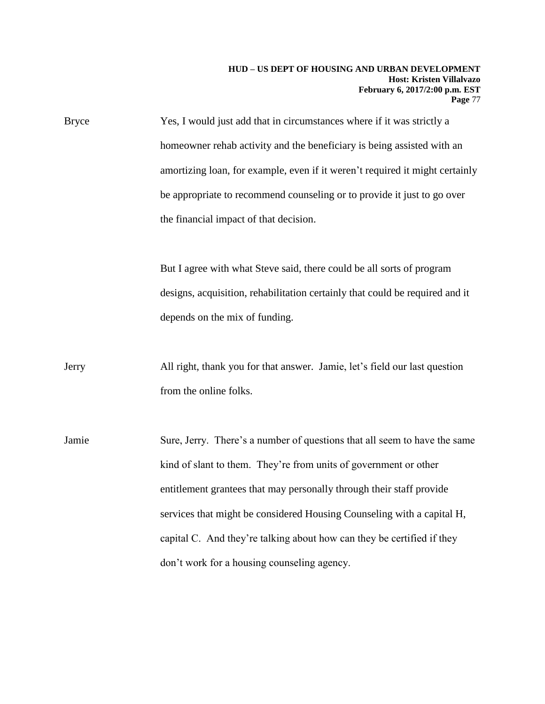## **HUD – US DEPT OF HOUSING AND URBAN DEVELOPMENT Host: Kristen Villalvazo February 6, 2017/2:00 p.m. EST Page** 77

Bryce Yes, I would just add that in circumstances where if it was strictly a homeowner rehab activity and the beneficiary is being assisted with an amortizing loan, for example, even if it weren't required it might certainly be appropriate to recommend counseling or to provide it just to go over the financial impact of that decision.

> But I agree with what Steve said, there could be all sorts of program designs, acquisition, rehabilitation certainly that could be required and it depends on the mix of funding.

Jerry All right, thank you for that answer. Jamie, let's field our last question from the online folks.

Jamie Sure, Jerry. There's a number of questions that all seem to have the same kind of slant to them. They're from units of government or other entitlement grantees that may personally through their staff provide services that might be considered Housing Counseling with a capital H, capital C. And they're talking about how can they be certified if they don't work for a housing counseling agency.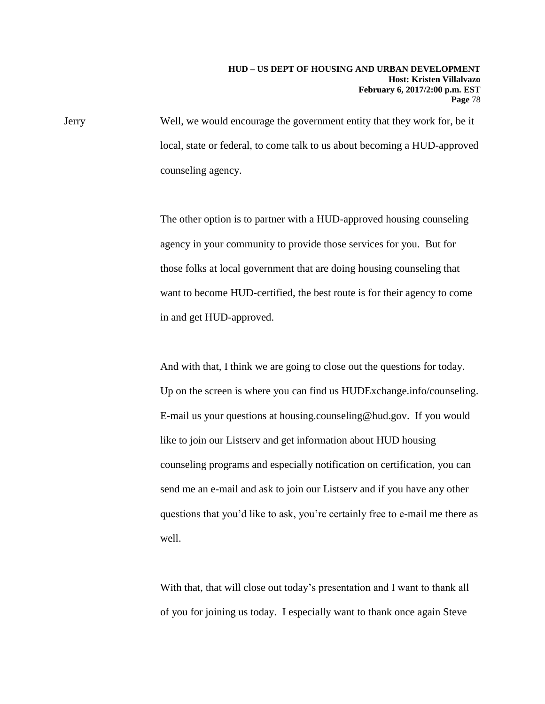Jerry Well, we would encourage the government entity that they work for, be it local, state or federal, to come talk to us about becoming a HUD-approved counseling agency.

> The other option is to partner with a HUD-approved housing counseling agency in your community to provide those services for you. But for those folks at local government that are doing housing counseling that want to become HUD-certified, the best route is for their agency to come in and get HUD-approved.

And with that, I think we are going to close out the questions for today. Up on the screen is where you can find us HUDExchange.info/counseling. E-mail us your questions at housing.counseling@hud.gov. If you would like to join our Listserv and get information about HUD housing counseling programs and especially notification on certification, you can send me an e-mail and ask to join our Listserv and if you have any other questions that you'd like to ask, you're certainly free to e-mail me there as well.

With that, that will close out today's presentation and I want to thank all of you for joining us today. I especially want to thank once again Steve